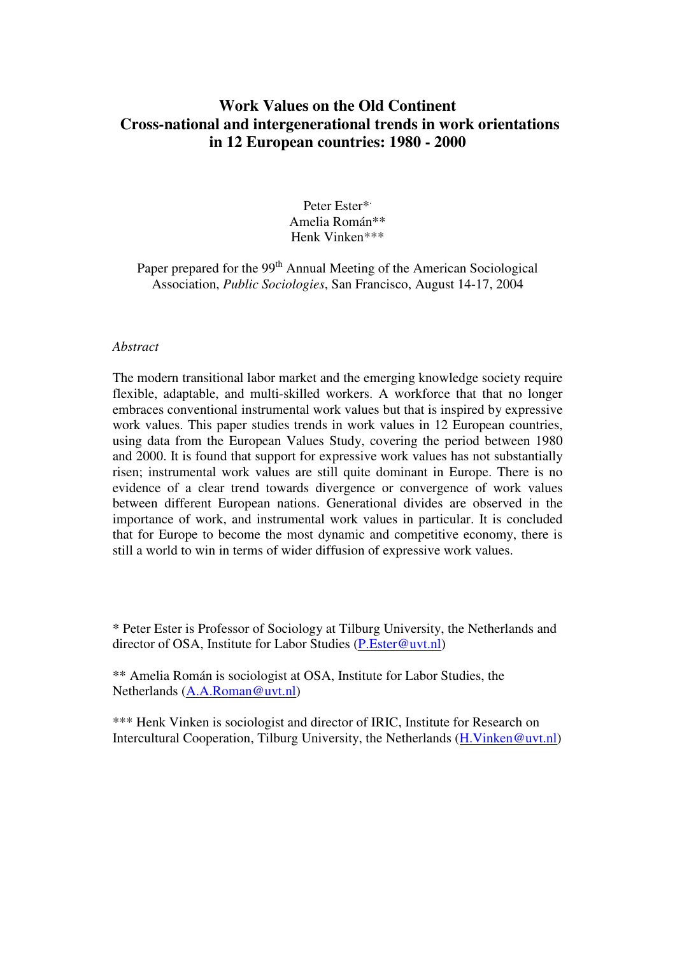# **Work Values on the Old Continent Cross-national and intergenerational trends in work orientations in 12 European countries: 1980 - 2000**

Peter Ester\* . Amelia Román\*\* Henk Vinken\*\*\*

Paper prepared for the 99<sup>th</sup> Annual Meeting of the American Sociological Association, *Public Sociologies*, San Francisco, August 14-17, 2004

#### *Abstract*

The modern transitional labor market and the emerging knowledge society require flexible, adaptable, and multi-skilled workers. A workforce that that no longer embraces conventional instrumental work values but that is inspired by expressive work values. This paper studies trends in work values in 12 European countries, using data from the European Values Study, covering the period between 1980 and 2000. It is found that support for expressive work values has not substantially risen; instrumental work values are still quite dominant in Europe. There is no evidence of a clear trend towards divergence or convergence of work values between different European nations. Generational divides are observed in the importance of work, and instrumental work values in particular. It is concluded that for Europe to become the most dynamic and competitive economy, there is still a world to win in terms of wider diffusion of expressive work values.

\* Peter Ester is Professor of Sociology at Tilburg University, the Netherlands and director of OSA, Institute for Labor Studies (P.Ester@uvt.nl)

\*\* Amelia Román is sociologist at OSA, Institute for Labor Studies, the Netherlands (A.A.Roman@uvt.nl)

\*\*\* Henk Vinken is sociologist and director of IRIC, Institute for Research on Intercultural Cooperation, Tilburg University, the Netherlands (H.Vinken@uvt.nl)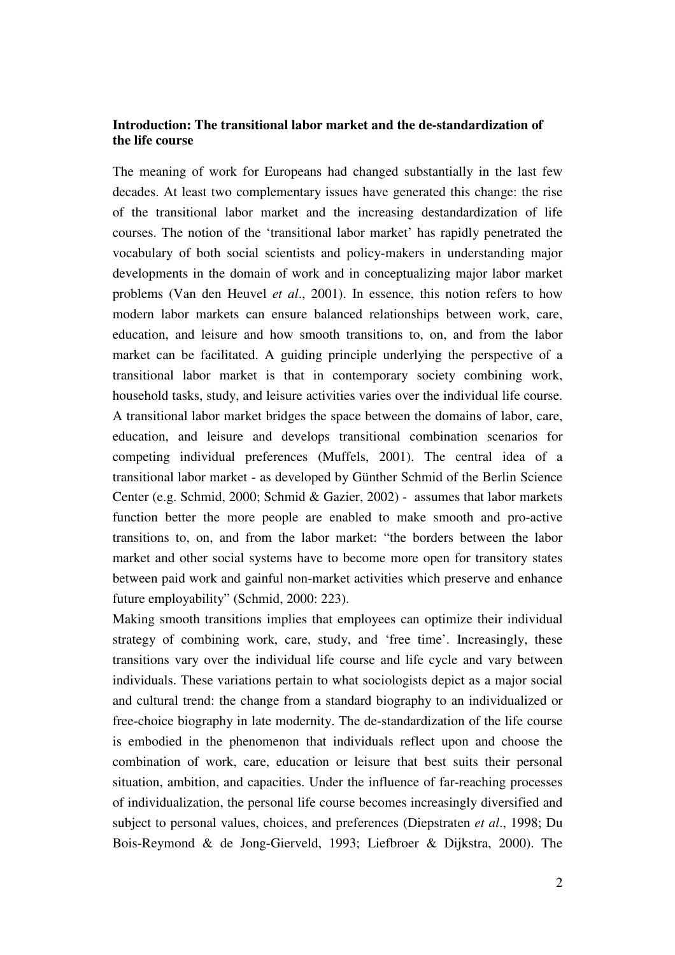### **Introduction: The transitional labor market and the de-standardization of the life course**

The meaning of work for Europeans had changed substantially in the last few decades. At least two complementary issues have generated this change: the rise of the transitional labor market and the increasing destandardization of life courses. The notion of the 'transitional labor market' has rapidly penetrated the vocabulary of both social scientists and policy-makers in understanding major developments in the domain of work and in conceptualizing major labor market problems (Van den Heuvel *et al*., 2001). In essence, this notion refers to how modern labor markets can ensure balanced relationships between work, care, education, and leisure and how smooth transitions to, on, and from the labor market can be facilitated. A guiding principle underlying the perspective of a transitional labor market is that in contemporary society combining work, household tasks, study, and leisure activities varies over the individual life course. A transitional labor market bridges the space between the domains of labor, care, education, and leisure and develops transitional combination scenarios for competing individual preferences (Muffels, 2001). The central idea of a transitional labor market - as developed by Günther Schmid of the Berlin Science Center (e.g. Schmid, 2000; Schmid & Gazier, 2002) - assumes that labor markets function better the more people are enabled to make smooth and pro-active transitions to, on, and from the labor market: "the borders between the labor market and other social systems have to become more open for transitory states between paid work and gainful non-market activities which preserve and enhance future employability" (Schmid, 2000: 223).

Making smooth transitions implies that employees can optimize their individual strategy of combining work, care, study, and 'free time'. Increasingly, these transitions vary over the individual life course and life cycle and vary between individuals. These variations pertain to what sociologists depict as a major social and cultural trend: the change from a standard biography to an individualized or free-choice biography in late modernity. The de-standardization of the life course is embodied in the phenomenon that individuals reflect upon and choose the combination of work, care, education or leisure that best suits their personal situation, ambition, and capacities. Under the influence of far-reaching processes of individualization, the personal life course becomes increasingly diversified and subject to personal values, choices, and preferences (Diepstraten *et al*., 1998; Du Bois-Reymond & de Jong-Gierveld, 1993; Liefbroer & Dijkstra, 2000). The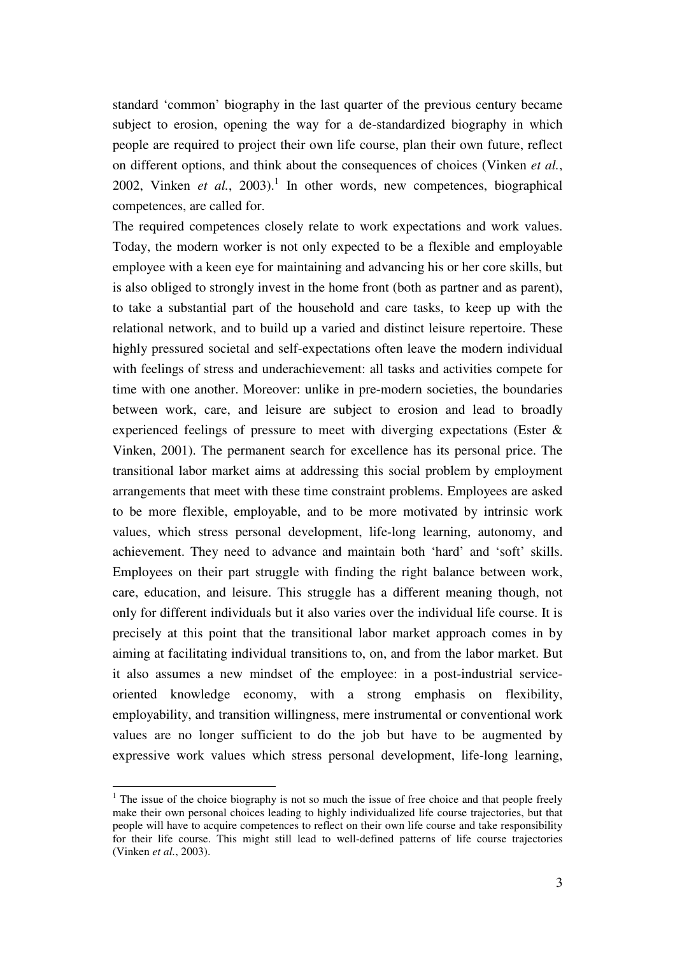standard 'common' biography in the last quarter of the previous century became subject to erosion, opening the way for a de-standardized biography in which people are required to project their own life course, plan their own future, reflect on different options, and think about the consequences of choices (Vinken *et al.*, 2002, Vinken *et al.*, 2003). 1 In other words, new competences, biographical competences, are called for.

The required competences closely relate to work expectations and work values. Today, the modern worker is not only expected to be a flexible and employable employee with a keen eye for maintaining and advancing his or her core skills, but is also obliged to strongly invest in the home front (both as partner and as parent), to take a substantial part of the household and care tasks, to keep up with the relational network, and to build up a varied and distinct leisure repertoire. These highly pressured societal and self-expectations often leave the modern individual with feelings of stress and underachievement: all tasks and activities compete for time with one another. Moreover: unlike in pre-modern societies, the boundaries between work, care, and leisure are subject to erosion and lead to broadly experienced feelings of pressure to meet with diverging expectations (Ester & Vinken, 2001). The permanent search for excellence has its personal price. The transitional labor market aims at addressing this social problem by employment arrangements that meet with these time constraint problems. Employees are asked to be more flexible, employable, and to be more motivated by intrinsic work values, which stress personal development, life-long learning, autonomy, and achievement. They need to advance and maintain both 'hard' and 'soft' skills. Employees on their part struggle with finding the right balance between work, care, education, and leisure. This struggle has a different meaning though, not only for different individuals but it also varies over the individual life course. It is precisely at this point that the transitional labor market approach comes in by aiming at facilitating individual transitions to, on, and from the labor market. But it also assumes a new mindset of the employee: in a post-industrial serviceoriented knowledge economy, with a strong emphasis on flexibility, employability, and transition willingness, mere instrumental or conventional work values are no longer sufficient to do the job but have to be augmented by expressive work values which stress personal development, life-long learning,

 $1$  The issue of the choice biography is not so much the issue of free choice and that people freely make their own personal choices leading to highly individualized life course trajectories, but that people will have to acquire competences to reflect on their own life course and take responsibility for their life course. This might still lead to well-defined patterns of life course trajectories (Vinken *et al.*, 2003).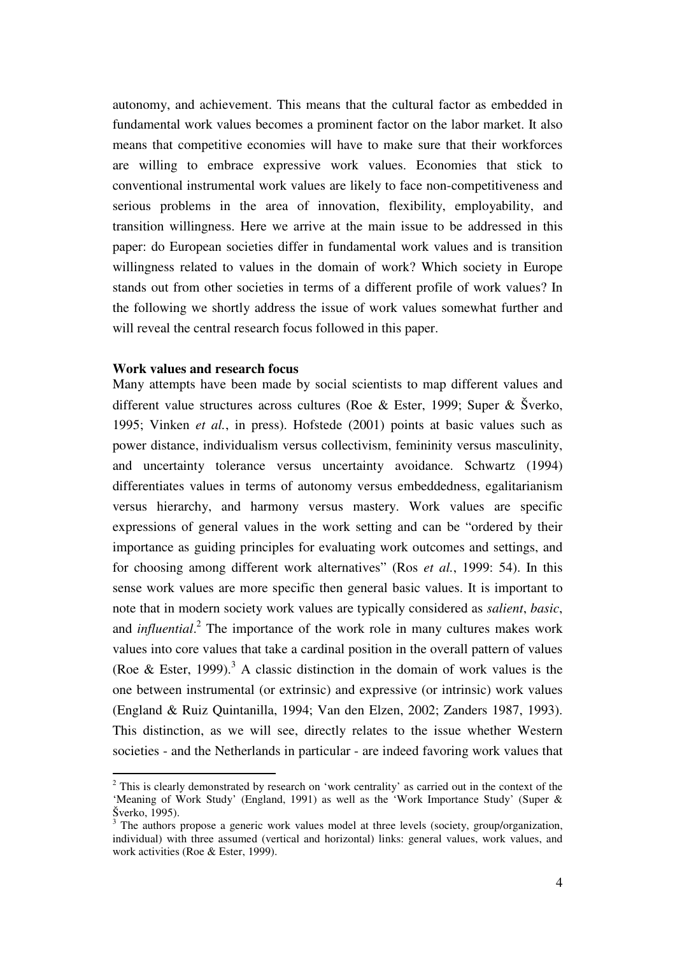autonomy, and achievement. This means that the cultural factor as embedded in fundamental work values becomes a prominent factor on the labor market. It also means that competitive economies will have to make sure that their workforces are willing to embrace expressive work values. Economies that stick to conventional instrumental work values are likely to face non-competitiveness and serious problems in the area of innovation, flexibility, employability, and transition willingness. Here we arrive at the main issue to be addressed in this paper: do European societies differ in fundamental work values and is transition willingness related to values in the domain of work? Which society in Europe stands out from other societies in terms of a different profile of work values? In the following we shortly address the issue of work values somewhat further and will reveal the central research focus followed in this paper.

### **Work values and research focus**

Many attempts have been made by social scientists to map different values and different value structures across cultures (Roe & Ester, 1999; Super & Šverko, 1995; Vinken *et al.*, in press). Hofstede (2001) points at basic values such as power distance, individualism versus collectivism, femininity versus masculinity, and uncertainty tolerance versus uncertainty avoidance. Schwartz (1994) differentiates values in terms of autonomy versus embeddedness, egalitarianism versus hierarchy, and harmony versus mastery. Work values are specific expressions of general values in the work setting and can be "ordered by their importance as guiding principles for evaluating work outcomes and settings, and for choosing among different work alternatives" (Ros *et al.*, 1999: 54). In this sense work values are more specific then general basic values. It is important to note that in modern society work values are typically considered as *salient*, *basic*, and *influential*. 2 The importance of the work role in many cultures makes work values into core values that take a cardinal position in the overall pattern of values (Roe & Ester, 1999).<sup>3</sup> A classic distinction in the domain of work values is the one between instrumental (or extrinsic) and expressive (or intrinsic) work values (England & Ruiz Quintanilla, 1994; Van den Elzen, 2002; Zanders 1987, 1993). This distinction, as we will see, directly relates to the issue whether Western societies - and the Netherlands in particular - are indeed favoring work values that

 $2$  This is clearly demonstrated by research on 'work centrality' as carried out in the context of the 'Meaning of Work Study' (England, 1991) as well as the 'Work Importance Study' (Super & Šverko, 1995).

<sup>&</sup>lt;sup>3</sup> The authors propose a generic work values model at three levels (society, group/organization, individual) with three assumed (vertical and horizontal) links: general values, work values, and work activities (Roe & Ester, 1999).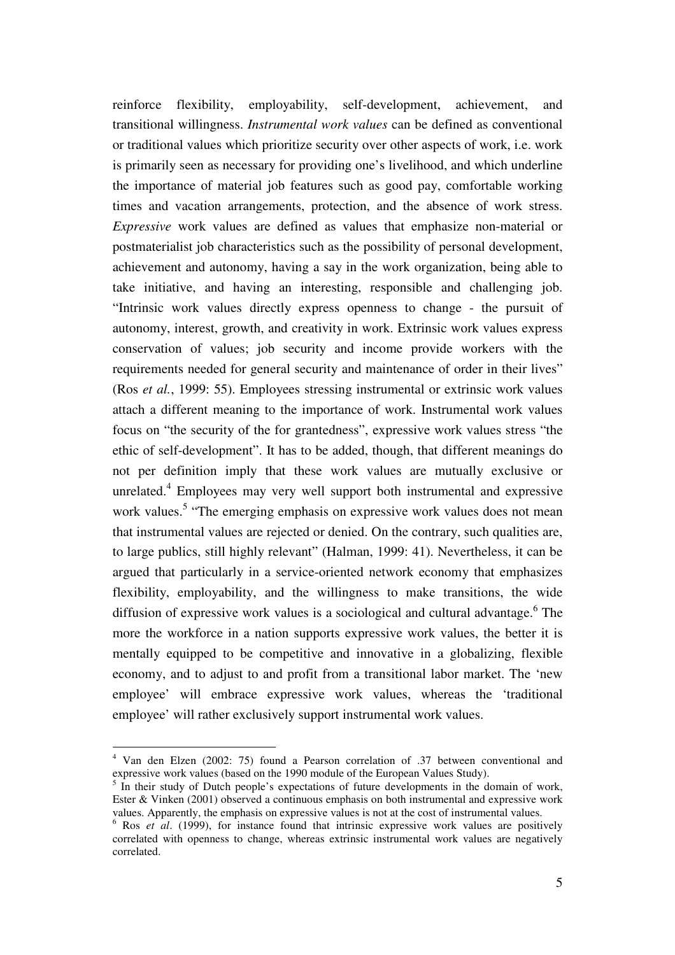reinforce flexibility, employability, self-development, achievement, and transitional willingness. *Instrumental work values* can be defined as conventional or traditional values which prioritize security over other aspects of work, i.e. work is primarily seen as necessary for providing one's livelihood, and which underline the importance of material job features such as good pay, comfortable working times and vacation arrangements, protection, and the absence of work stress. *Expressive* work values are defined as values that emphasize non-material or postmaterialist job characteristics such as the possibility of personal development, achievement and autonomy, having a say in the work organization, being able to take initiative, and having an interesting, responsible and challenging job. "Intrinsic work values directly express openness to change - the pursuit of autonomy, interest, growth, and creativity in work. Extrinsic work values express conservation of values; job security and income provide workers with the requirements needed for general security and maintenance of order in their lives" (Ros *et al.*, 1999: 55). Employees stressing instrumental or extrinsic work values attach a different meaning to the importance of work. Instrumental work values focus on "the security of the for grantedness", expressive work values stress "the ethic of self-development". It has to be added, though, that different meanings do not per definition imply that these work values are mutually exclusive or unrelated. 4 Employees may very well support both instrumental and expressive work values.<sup>5</sup> "The emerging emphasis on expressive work values does not mean that instrumental values are rejected or denied. On the contrary, such qualities are, to large publics, still highly relevant" (Halman, 1999: 41). Nevertheless, it can be argued that particularly in a service-oriented network economy that emphasizes flexibility, employability, and the willingness to make transitions, the wide diffusion of expressive work values is a sociological and cultural advantage.<sup>6</sup> The more the workforce in a nation supports expressive work values, the better it is mentally equipped to be competitive and innovative in a globalizing, flexible economy, and to adjust to and profit from a transitional labor market. The 'new employee' will embrace expressive work values, whereas the 'traditional employee' will rather exclusively support instrumental work values.

<sup>4</sup> Van den Elzen (2002: 75) found a Pearson correlation of .37 between conventional and expressive work values (based on the 1990 module of the European Values Study).<br><sup>5</sup> In their study of Dutch people's expectations of future developments in the domain of work,

Ester & Vinken (2001) observed a continuous emphasis on both instrumental and expressive work values. Apparently, the emphasis on expressive values is not at the cost of instrumental values.

<sup>6</sup> Ros *et al*. (1999), for instance found that intrinsic expressive work values are positively correlated with openness to change, whereas extrinsic instrumental work values are negatively correlated.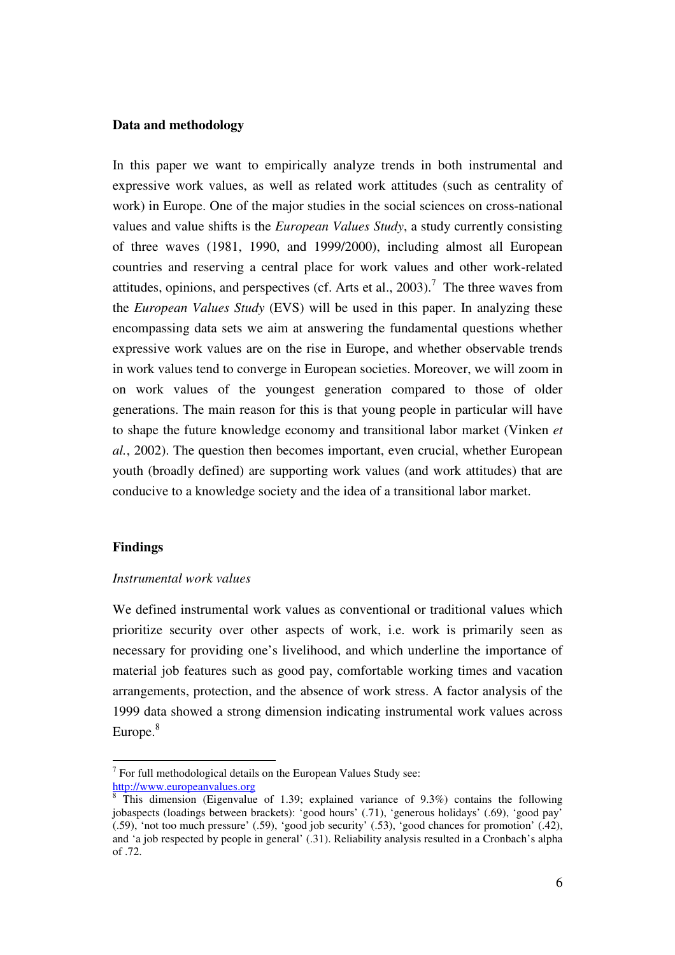#### **Data and methodology**

In this paper we want to empirically analyze trends in both instrumental and expressive work values, as well as related work attitudes (such as centrality of work) in Europe. One of the major studies in the social sciences on cross-national values and value shifts is the *European Values Study*, a study currently consisting of three waves (1981, 1990, and 1999/2000), including almost all European countries and reserving a central place for work values and other work-related attitudes, opinions, and perspectives (cf. Arts et al., 2003).<sup>7</sup> The three waves from the *European Values Study* (EVS) will be used in this paper. In analyzing these encompassing data sets we aim at answering the fundamental questions whether expressive work values are on the rise in Europe, and whether observable trends in work values tend to converge in European societies. Moreover, we will zoom in on work values of the youngest generation compared to those of older generations. The main reason for this is that young people in particular will have to shape the future knowledge economy and transitional labor market (Vinken *et al.*, 2002). The question then becomes important, even crucial, whether European youth (broadly defined) are supporting work values (and work attitudes) that are conducive to a knowledge society and the idea of a transitional labor market.

#### **Findings**

### *Instrumental work values*

We defined instrumental work values as conventional or traditional values which prioritize security over other aspects of work, i.e. work is primarily seen as necessary for providing one's livelihood, and which underline the importance of material job features such as good pay, comfortable working times and vacation arrangements, protection, and the absence of work stress. A factor analysis of the 1999 data showed a strong dimension indicating instrumental work values across Europe.<sup>8</sup>

 $7$  For full methodological details on the European Values Study see: http://www.europeanvalues.org

 $8$  This dimension (Eigenvalue of 1.39; explained variance of 9.3%) contains the following jobaspects (loadings between brackets): 'good hours' (.71), 'generous holidays' (.69), 'good pay'  $(0.59)$ , 'not too much pressure' (.59), 'good job security' (.53), 'good chances for promotion' (.42), and 'a job respected by people in general' (.31). Reliability analysis resulted in a Cronbach's alpha of .72.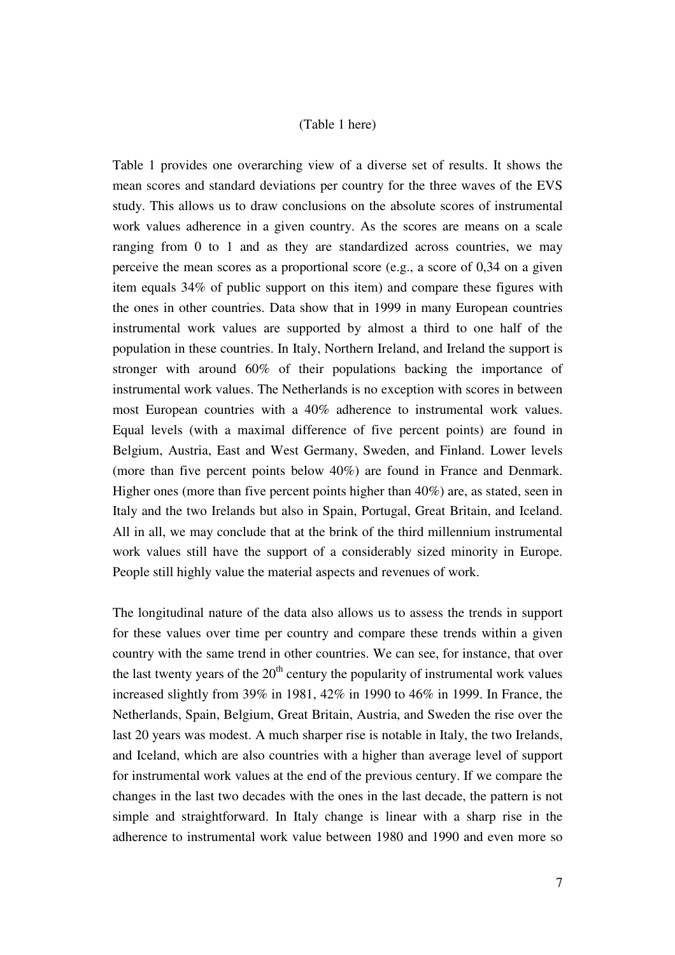### (Table 1 here)

Table 1 provides one overarching view of a diverse set of results. It shows the mean scores and standard deviations per country for the three waves of the EVS study. This allows us to draw conclusions on the absolute scores of instrumental work values adherence in a given country. As the scores are means on a scale ranging from 0 to 1 and as they are standardized across countries, we may perceive the mean scores as a proportional score (e.g., a score of 0,34 on a given item equals 34% of public support on this item) and compare these figures with the ones in other countries. Data show that in 1999 in many European countries instrumental work values are supported by almost a third to one half of the population in these countries. In Italy, Northern Ireland, and Ireland the support is stronger with around 60% of their populations backing the importance of instrumental work values. The Netherlands is no exception with scores in between most European countries with a 40% adherence to instrumental work values. Equal levels (with a maximal difference of five percent points) are found in Belgium, Austria, East and West Germany, Sweden, and Finland. Lower levels (more than five percent points below 40%) are found in France and Denmark. Higher ones (more than five percent points higher than 40%) are, as stated, seen in Italy and the two Irelands but also in Spain, Portugal, Great Britain, and Iceland. All in all, we may conclude that at the brink of the third millennium instrumental work values still have the support of a considerably sized minority in Europe. People still highly value the material aspects and revenues of work.

The longitudinal nature of the data also allows us to assess the trends in support for these values over time per country and compare these trends within a given country with the same trend in other countries. We can see, for instance, that over the last twenty years of the  $20<sup>th</sup>$  century the popularity of instrumental work values increased slightly from 39% in 1981, 42% in 1990 to 46% in 1999. In France, the Netherlands, Spain, Belgium, Great Britain, Austria, and Sweden the rise over the last 20 years was modest. A much sharper rise is notable in Italy, the two Irelands, and Iceland, which are also countries with a higher than average level of support for instrumental work values at the end of the previous century. If we compare the changes in the last two decades with the ones in the last decade, the pattern is not simple and straightforward. In Italy change is linear with a sharp rise in the adherence to instrumental work value between 1980 and 1990 and even more so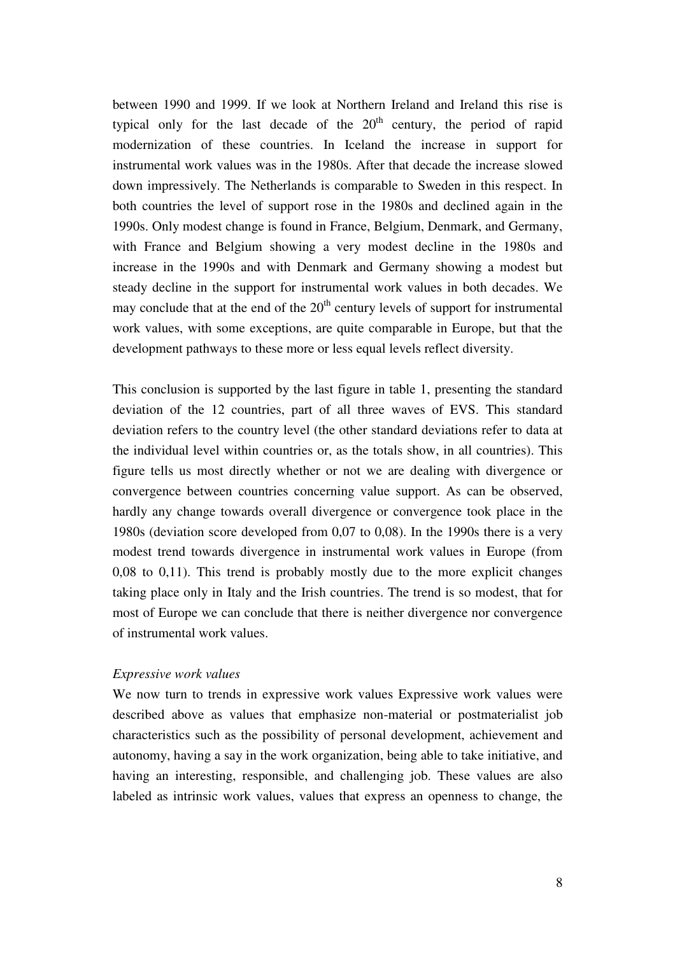between 1990 and 1999. If we look at Northern Ireland and Ireland this rise is typical only for the last decade of the  $20<sup>th</sup>$  century, the period of rapid modernization of these countries. In Iceland the increase in support for instrumental work values was in the 1980s. After that decade the increase slowed down impressively. The Netherlands is comparable to Sweden in this respect. In both countries the level of support rose in the 1980s and declined again in the 1990s. Only modest change is found in France, Belgium, Denmark, and Germany, with France and Belgium showing a very modest decline in the 1980s and increase in the 1990s and with Denmark and Germany showing a modest but steady decline in the support for instrumental work values in both decades. We may conclude that at the end of the  $20<sup>th</sup>$  century levels of support for instrumental work values, with some exceptions, are quite comparable in Europe, but that the development pathways to these more or less equal levels reflect diversity.

This conclusion is supported by the last figure in table 1, presenting the standard deviation of the 12 countries, part of all three waves of EVS. This standard deviation refers to the country level (the other standard deviations refer to data at the individual level within countries or, as the totals show, in all countries). This figure tells us most directly whether or not we are dealing with divergence or convergence between countries concerning value support. As can be observed, hardly any change towards overall divergence or convergence took place in the 1980s (deviation score developed from 0,07 to 0,08). In the 1990s there is a very modest trend towards divergence in instrumental work values in Europe (from 0,08 to 0,11). This trend is probably mostly due to the more explicit changes taking place only in Italy and the Irish countries. The trend is so modest, that for most of Europe we can conclude that there is neither divergence nor convergence of instrumental work values.

#### *Expressive work values*

We now turn to trends in expressive work values Expressive work values were described above as values that emphasize non-material or postmaterialist job characteristics such as the possibility of personal development, achievement and autonomy, having a say in the work organization, being able to take initiative, and having an interesting, responsible, and challenging job. These values are also labeled as intrinsic work values, values that express an openness to change, the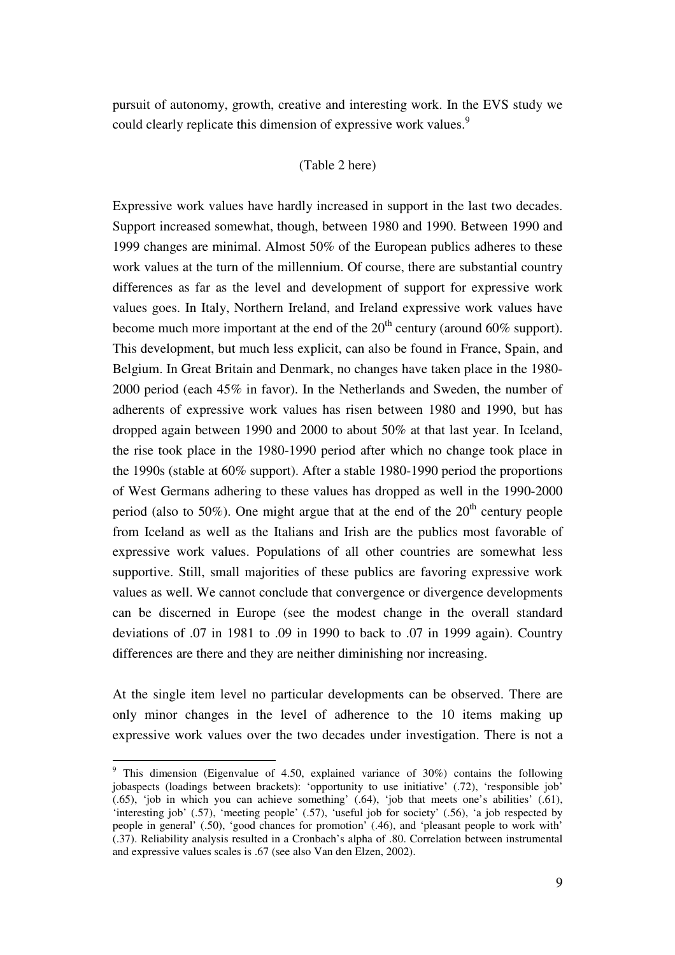pursuit of autonomy, growth, creative and interesting work. In the EVS study we could clearly replicate this dimension of expressive work values.<sup>9</sup>

#### (Table 2 here)

Expressive work values have hardly increased in support in the last two decades. Support increased somewhat, though, between 1980 and 1990. Between 1990 and 1999 changes are minimal. Almost 50% of the European publics adheres to these work values at the turn of the millennium. Of course, there are substantial country differences as far as the level and development of support for expressive work values goes. In Italy, Northern Ireland, and Ireland expressive work values have become much more important at the end of the  $20<sup>th</sup>$  century (around 60% support). This development, but much less explicit, can also be found in France, Spain, and Belgium. In Great Britain and Denmark, no changes have taken place in the 1980- 2000 period (each 45% in favor). In the Netherlands and Sweden, the number of adherents of expressive work values has risen between 1980 and 1990, but has dropped again between 1990 and 2000 to about 50% at that last year. In Iceland, the rise took place in the 1980-1990 period after which no change took place in the 1990s (stable at 60% support). After a stable 1980-1990 period the proportions of West Germans adhering to these values has dropped as well in the 1990-2000 period (also to 50%). One might argue that at the end of the  $20<sup>th</sup>$  century people from Iceland as well as the Italians and Irish are the publics most favorable of expressive work values. Populations of all other countries are somewhat less supportive. Still, small majorities of these publics are favoring expressive work values as well. We cannot conclude that convergence or divergence developments can be discerned in Europe (see the modest change in the overall standard deviations of .07 in 1981 to .09 in 1990 to back to .07 in 1999 again). Country differences are there and they are neither diminishing nor increasing.

At the single item level no particular developments can be observed. There are only minor changes in the level of adherence to the 10 items making up expressive work values over the two decades under investigation. There is not a

<sup>&</sup>lt;sup>9</sup> This dimension (Eigenvalue of 4.50, explained variance of 30%) contains the following jobaspects (loadings between brackets): 'opportunity to use initiative' (.72), 'responsible job' (.65), 'job in which you can achieve something' (.64), 'job that meets one's abilities' (.61), 'interesting job' (.57), 'meeting people' (.57), 'useful job for society' (.56), 'a job respected by people in general' (.50), 'good chances for promotion' (.46), and 'pleasant people to work with' (.37). Reliability analysis resulted in a Cronbach's alpha of .80. Correlation between instrumental and expressive values scales is .67 (see also Van den Elzen, 2002).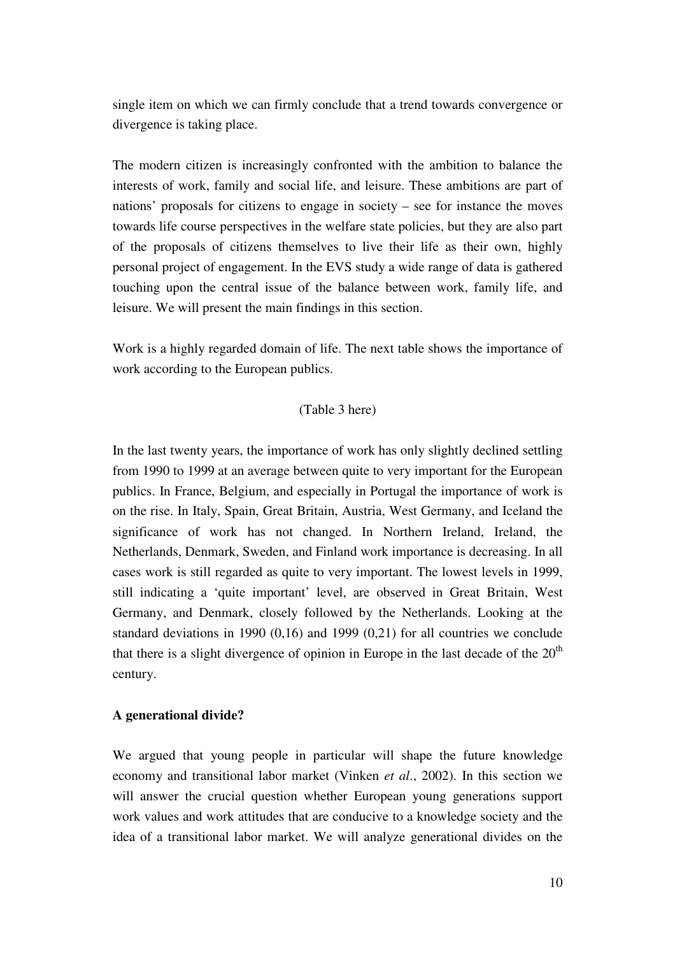single item on which we can firmly conclude that a trend towards convergence or divergence is taking place.

The modern citizen is increasingly confronted with the ambition to balance the interests of work, family and social life, and leisure. These ambitions are part of nations' proposals for citizens to engage in society – see for instance the moves towards life course perspectives in the welfare state policies, but they are also part of the proposals of citizens themselves to live their life as their own, highly personal project of engagement. In the EVS study a wide range of data is gathered touching upon the central issue of the balance between work, family life, and leisure. We will present the main findings in this section.

Work is a highly regarded domain of life. The next table shows the importance of work according to the European publics.

### (Table 3 here)

In the last twenty years, the importance of work has only slightly declined settling from 1990 to 1999 at an average between quite to very important for the European publics. In France, Belgium, and especially in Portugal the importance of work is on the rise. In Italy, Spain, Great Britain, Austria, West Germany, and Iceland the significance of work has not changed. In Northern Ireland, Ireland, the Netherlands, Denmark, Sweden, and Finland work importance is decreasing. In all cases work is still regarded as quite to very important. The lowest levels in 1999, still indicating a 'quite important' level, are observed in Great Britain, West Germany, and Denmark, closely followed by the Netherlands. Looking at the standard deviations in 1990 (0,16) and 1999 (0,21) for all countries we conclude that there is a slight divergence of opinion in Europe in the last decade of the  $20<sup>th</sup>$ century.

### **A generational divide?**

We argued that young people in particular will shape the future knowledge economy and transitional labor market (Vinken *et al*., 2002). In this section we will answer the crucial question whether European young generations support work values and work attitudes that are conducive to a knowledge society and the idea of a transitional labor market. We will analyze generational divides on the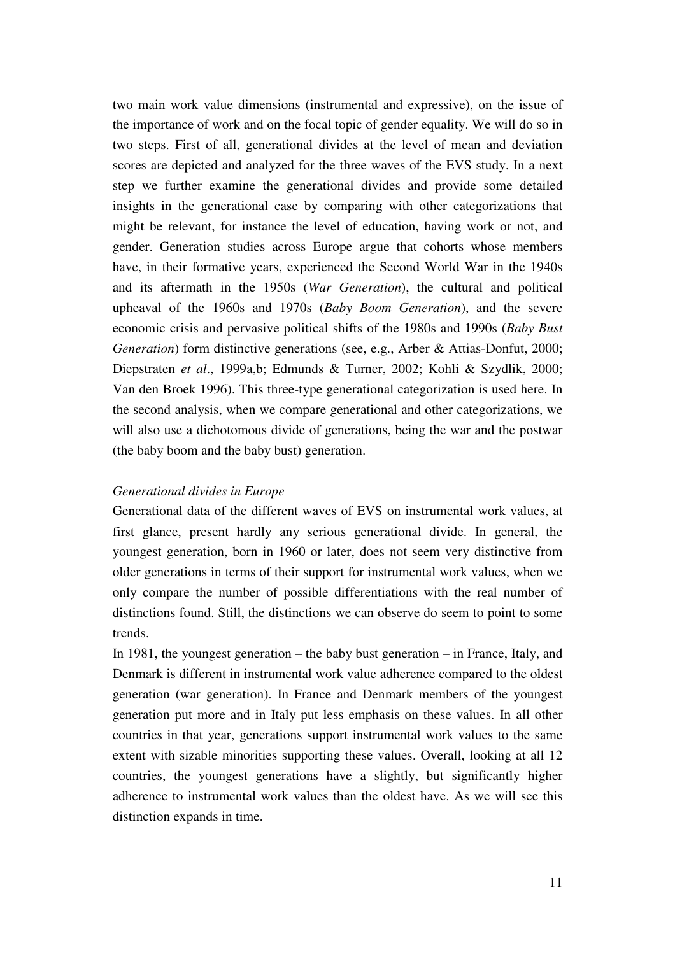two main work value dimensions (instrumental and expressive), on the issue of the importance of work and on the focal topic of gender equality. We will do so in two steps. First of all, generational divides at the level of mean and deviation scores are depicted and analyzed for the three waves of the EVS study. In a next step we further examine the generational divides and provide some detailed insights in the generational case by comparing with other categorizations that might be relevant, for instance the level of education, having work or not, and gender. Generation studies across Europe argue that cohorts whose members have, in their formative years, experienced the Second World War in the 1940s and its aftermath in the 1950s (*War Generation*), the cultural and political upheaval of the 1960s and 1970s (*Baby Boom Generation*), and the severe economic crisis and pervasive political shifts of the 1980s and 1990s (*Baby Bust Generation*) form distinctive generations (see, e.g., Arber & Attias-Donfut, 2000; Diepstraten *et al*., 1999a,b; Edmunds & Turner, 2002; Kohli & Szydlik, 2000; Van den Broek 1996). This three-type generational categorization is used here. In the second analysis, when we compare generational and other categorizations, we will also use a dichotomous divide of generations, being the war and the postwar (the baby boom and the baby bust) generation.

### *Generational divides in Europe*

Generational data of the different waves of EVS on instrumental work values, at first glance, present hardly any serious generational divide. In general, the youngest generation, born in 1960 or later, does not seem very distinctive from older generations in terms of their support for instrumental work values, when we only compare the number of possible differentiations with the real number of distinctions found. Still, the distinctions we can observe do seem to point to some trends.

In 1981, the youngest generation – the baby bust generation – in France, Italy, and Denmark is different in instrumental work value adherence compared to the oldest generation (war generation). In France and Denmark members of the youngest generation put more and in Italy put less emphasis on these values. In all other countries in that year, generations support instrumental work values to the same extent with sizable minorities supporting these values. Overall, looking at all 12 countries, the youngest generations have a slightly, but significantly higher adherence to instrumental work values than the oldest have. As we will see this distinction expands in time.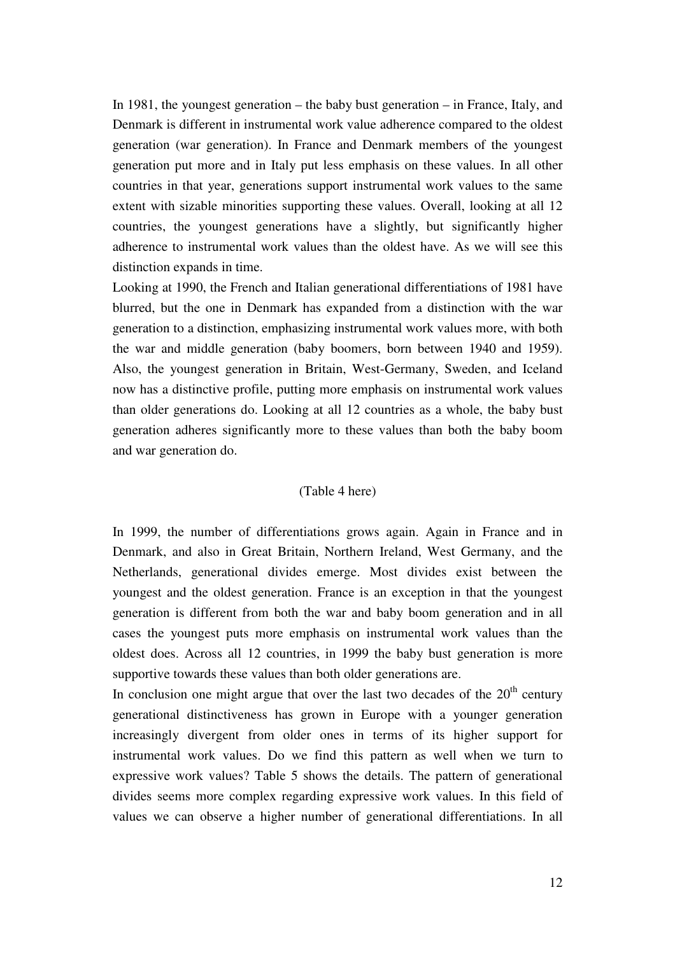In 1981, the youngest generation – the baby bust generation – in France, Italy, and Denmark is different in instrumental work value adherence compared to the oldest generation (war generation). In France and Denmark members of the youngest generation put more and in Italy put less emphasis on these values. In all other countries in that year, generations support instrumental work values to the same extent with sizable minorities supporting these values. Overall, looking at all 12 countries, the youngest generations have a slightly, but significantly higher adherence to instrumental work values than the oldest have. As we will see this distinction expands in time.

Looking at 1990, the French and Italian generational differentiations of 1981 have blurred, but the one in Denmark has expanded from a distinction with the war generation to a distinction, emphasizing instrumental work values more, with both the war and middle generation (baby boomers, born between 1940 and 1959). Also, the youngest generation in Britain, West-Germany, Sweden, and Iceland now has a distinctive profile, putting more emphasis on instrumental work values than older generations do. Looking at all 12 countries as a whole, the baby bust generation adheres significantly more to these values than both the baby boom and war generation do.

## (Table 4 here)

In 1999, the number of differentiations grows again. Again in France and in Denmark, and also in Great Britain, Northern Ireland, West Germany, and the Netherlands, generational divides emerge. Most divides exist between the youngest and the oldest generation. France is an exception in that the youngest generation is different from both the war and baby boom generation and in all cases the youngest puts more emphasis on instrumental work values than the oldest does. Across all 12 countries, in 1999 the baby bust generation is more supportive towards these values than both older generations are.

In conclusion one might argue that over the last two decades of the  $20<sup>th</sup>$  century generational distinctiveness has grown in Europe with a younger generation increasingly divergent from older ones in terms of its higher support for instrumental work values. Do we find this pattern as well when we turn to expressive work values? Table 5 shows the details. The pattern of generational divides seems more complex regarding expressive work values. In this field of values we can observe a higher number of generational differentiations. In all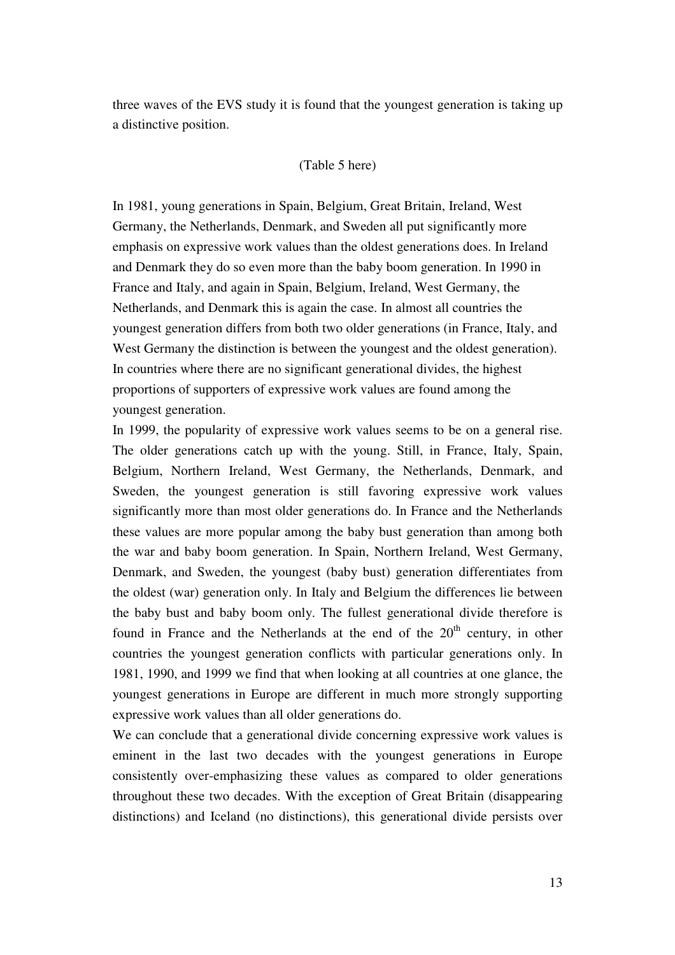three waves of the EVS study it is found that the youngest generation is taking up a distinctive position.

#### (Table 5 here)

In 1981, young generations in Spain, Belgium, Great Britain, Ireland, West Germany, the Netherlands, Denmark, and Sweden all put significantly more emphasis on expressive work values than the oldest generations does. In Ireland and Denmark they do so even more than the baby boom generation. In 1990 in France and Italy, and again in Spain, Belgium, Ireland, West Germany, the Netherlands, and Denmark this is again the case. In almost all countries the youngest generation differs from both two older generations (in France, Italy, and West Germany the distinction is between the youngest and the oldest generation). In countries where there are no significant generational divides, the highest proportions of supporters of expressive work values are found among the youngest generation.

In 1999, the popularity of expressive work values seems to be on a general rise. The older generations catch up with the young. Still, in France, Italy, Spain, Belgium, Northern Ireland, West Germany, the Netherlands, Denmark, and Sweden, the youngest generation is still favoring expressive work values significantly more than most older generations do. In France and the Netherlands these values are more popular among the baby bust generation than among both the war and baby boom generation. In Spain, Northern Ireland, West Germany, Denmark, and Sweden, the youngest (baby bust) generation differentiates from the oldest (war) generation only. In Italy and Belgium the differences lie between the baby bust and baby boom only. The fullest generational divide therefore is found in France and the Netherlands at the end of the  $20<sup>th</sup>$  century, in other countries the youngest generation conflicts with particular generations only. In 1981, 1990, and 1999 we find that when looking at all countries at one glance, the youngest generations in Europe are different in much more strongly supporting expressive work values than all older generations do.

We can conclude that a generational divide concerning expressive work values is eminent in the last two decades with the youngest generations in Europe consistently over-emphasizing these values as compared to older generations throughout these two decades. With the exception of Great Britain (disappearing distinctions) and Iceland (no distinctions), this generational divide persists over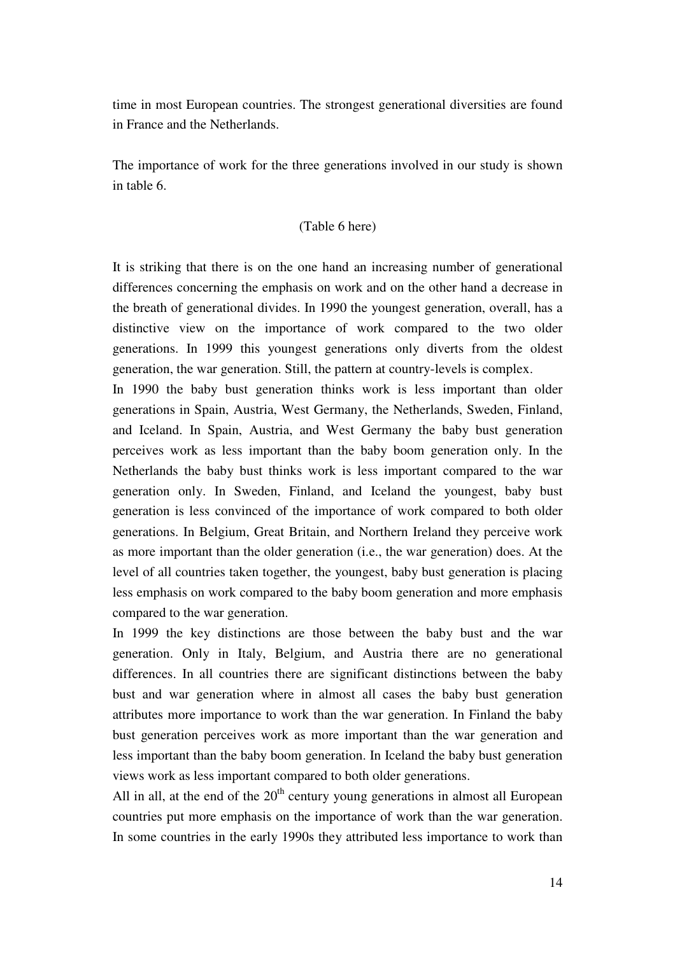time in most European countries. The strongest generational diversities are found in France and the Netherlands.

The importance of work for the three generations involved in our study is shown in table 6.

### (Table 6 here)

It is striking that there is on the one hand an increasing number of generational differences concerning the emphasis on work and on the other hand a decrease in the breath of generational divides. In 1990 the youngest generation, overall, has a distinctive view on the importance of work compared to the two older generations. In 1999 this youngest generations only diverts from the oldest generation, the war generation. Still, the pattern at country-levels is complex.

In 1990 the baby bust generation thinks work is less important than older generations in Spain, Austria, West Germany, the Netherlands, Sweden, Finland, and Iceland. In Spain, Austria, and West Germany the baby bust generation perceives work as less important than the baby boom generation only. In the Netherlands the baby bust thinks work is less important compared to the war generation only. In Sweden, Finland, and Iceland the youngest, baby bust generation is less convinced of the importance of work compared to both older generations. In Belgium, Great Britain, and Northern Ireland they perceive work as more important than the older generation (i.e., the war generation) does. At the level of all countries taken together, the youngest, baby bust generation is placing less emphasis on work compared to the baby boom generation and more emphasis compared to the war generation.

In 1999 the key distinctions are those between the baby bust and the war generation. Only in Italy, Belgium, and Austria there are no generational differences. In all countries there are significant distinctions between the baby bust and war generation where in almost all cases the baby bust generation attributes more importance to work than the war generation. In Finland the baby bust generation perceives work as more important than the war generation and less important than the baby boom generation. In Iceland the baby bust generation views work as less important compared to both older generations.

All in all, at the end of the  $20<sup>th</sup>$  century young generations in almost all European countries put more emphasis on the importance of work than the war generation. In some countries in the early 1990s they attributed less importance to work than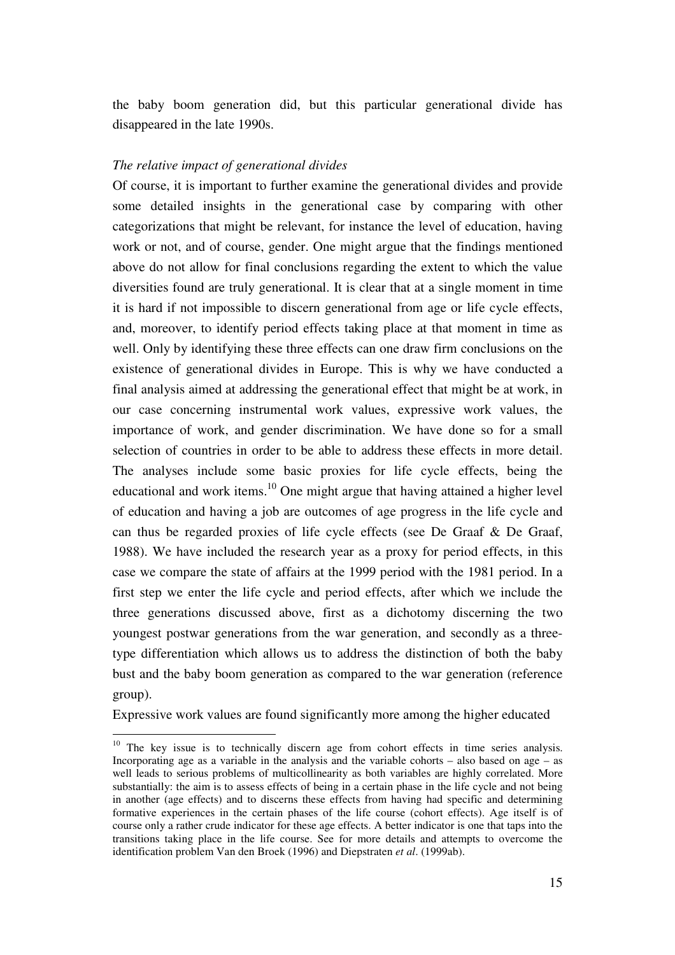the baby boom generation did, but this particular generational divide has disappeared in the late 1990s.

#### *The relative impact of generational divides*

Of course, it is important to further examine the generational divides and provide some detailed insights in the generational case by comparing with other categorizations that might be relevant, for instance the level of education, having work or not, and of course, gender. One might argue that the findings mentioned above do not allow for final conclusions regarding the extent to which the value diversities found are truly generational. It is clear that at a single moment in time it is hard if not impossible to discern generational from age or life cycle effects, and, moreover, to identify period effects taking place at that moment in time as well. Only by identifying these three effects can one draw firm conclusions on the existence of generational divides in Europe. This is why we have conducted a final analysis aimed at addressing the generational effect that might be at work, in our case concerning instrumental work values, expressive work values, the importance of work, and gender discrimination. We have done so for a small selection of countries in order to be able to address these effects in more detail. The analyses include some basic proxies for life cycle effects, being the educational and work items.<sup>10</sup> One might argue that having attained a higher level of education and having a job are outcomes of age progress in the life cycle and can thus be regarded proxies of life cycle effects (see De Graaf & De Graaf, 1988). We have included the research year as a proxy for period effects, in this case we compare the state of affairs at the 1999 period with the 1981 period. In a first step we enter the life cycle and period effects, after which we include the three generations discussed above, first as a dichotomy discerning the two youngest postwar generations from the war generation, and secondly as a threetype differentiation which allows us to address the distinction of both the baby bust and the baby boom generation as compared to the war generation (reference group).

Expressive work values are found significantly more among the higher educated

 $10$  The key issue is to technically discern age from cohort effects in time series analysis. Incorporating age as a variable in the analysis and the variable cohorts  $-$  also based on age  $-$  as well leads to serious problems of multicollinearity as both variables are highly correlated. More substantially: the aim is to assess effects of being in a certain phase in the life cycle and not being in another (age effects) and to discerns these effects from having had specific and determining formative experiences in the certain phases of the life course (cohort effects). Age itself is of course only a rather crude indicator for these age effects. A better indicator is one that taps into the transitions taking place in the life course. See for more details and attempts to overcome the identification problem Van den Broek (1996) and Diepstraten *et al*. (1999ab).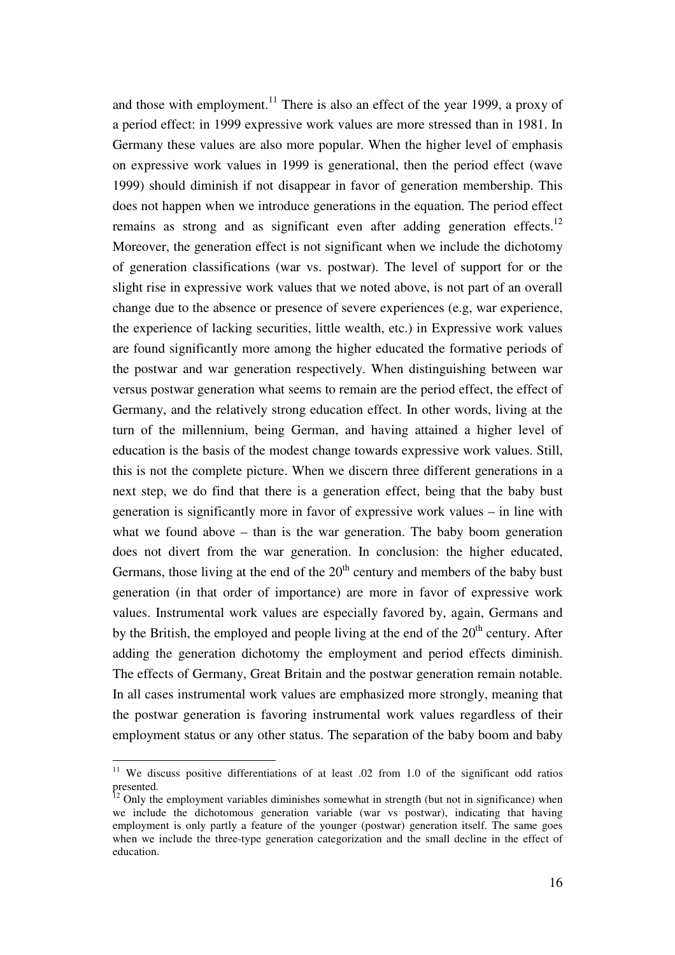and those with employment.<sup>11</sup> There is also an effect of the year 1999, a proxy of a period effect: in 1999 expressive work values are more stressed than in 1981. In Germany these values are also more popular. When the higher level of emphasis on expressive work values in 1999 is generational, then the period effect (wave 1999) should diminish if not disappear in favor of generation membership. This does not happen when we introduce generations in the equation. The period effect remains as strong and as significant even after adding generation effects.<sup>12</sup> Moreover, the generation effect is not significant when we include the dichotomy of generation classifications (war vs. postwar). The level of support for or the slight rise in expressive work values that we noted above, is not part of an overall change due to the absence or presence of severe experiences (e.g, war experience, the experience of lacking securities, little wealth, etc.) in Expressive work values are found significantly more among the higher educated the formative periods of the postwar and war generation respectively. When distinguishing between war versus postwar generation what seems to remain are the period effect, the effect of Germany, and the relatively strong education effect. In other words, living at the turn of the millennium, being German, and having attained a higher level of education is the basis of the modest change towards expressive work values. Still, this is not the complete picture. When we discern three different generations in a next step, we do find that there is a generation effect, being that the baby bust generation is significantly more in favor of expressive work values – in line with what we found above – than is the war generation. The baby boom generation does not divert from the war generation. In conclusion: the higher educated, Germans, those living at the end of the  $20<sup>th</sup>$  century and members of the baby bust generation (in that order of importance) are more in favor of expressive work values. Instrumental work values are especially favored by, again, Germans and by the British, the employed and people living at the end of the  $20<sup>th</sup>$  century. After adding the generation dichotomy the employment and period effects diminish. The effects of Germany, Great Britain and the postwar generation remain notable. In all cases instrumental work values are emphasized more strongly, meaning that the postwar generation is favoring instrumental work values regardless of their employment status or any other status. The separation of the baby boom and baby

<sup>&</sup>lt;sup>11</sup> We discuss positive differentiations of at least .02 from 1.0 of the significant odd ratios presented.

 $12$  Only the employment variables diminishes somewhat in strength (but not in significance) when we include the dichotomous generation variable (war vs postwar), indicating that having employment is only partly a feature of the younger (postwar) generation itself. The same goes when we include the three-type generation categorization and the small decline in the effect of education.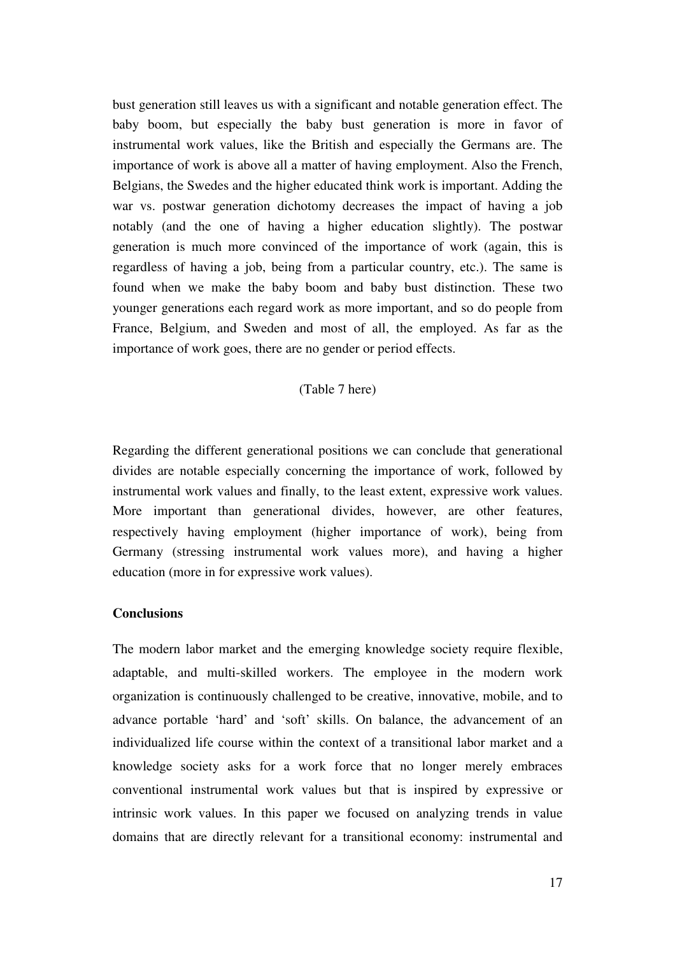bust generation still leaves us with a significant and notable generation effect. The baby boom, but especially the baby bust generation is more in favor of instrumental work values, like the British and especially the Germans are. The importance of work is above all a matter of having employment. Also the French, Belgians, the Swedes and the higher educated think work is important. Adding the war vs. postwar generation dichotomy decreases the impact of having a job notably (and the one of having a higher education slightly). The postwar generation is much more convinced of the importance of work (again, this is regardless of having a job, being from a particular country, etc.). The same is found when we make the baby boom and baby bust distinction. These two younger generations each regard work as more important, and so do people from France, Belgium, and Sweden and most of all, the employed. As far as the importance of work goes, there are no gender or period effects.

### (Table 7 here)

Regarding the different generational positions we can conclude that generational divides are notable especially concerning the importance of work, followed by instrumental work values and finally, to the least extent, expressive work values. More important than generational divides, however, are other features, respectively having employment (higher importance of work), being from Germany (stressing instrumental work values more), and having a higher education (more in for expressive work values).

#### **Conclusions**

The modern labor market and the emerging knowledge society require flexible, adaptable, and multi-skilled workers. The employee in the modern work organization is continuously challenged to be creative, innovative, mobile, and to advance portable 'hard' and 'soft' skills. On balance, the advancement of an individualized life course within the context of a transitional labor market and a knowledge society asks for a work force that no longer merely embraces conventional instrumental work values but that is inspired by expressive or intrinsic work values. In this paper we focused on analyzing trends in value domains that are directly relevant for a transitional economy: instrumental and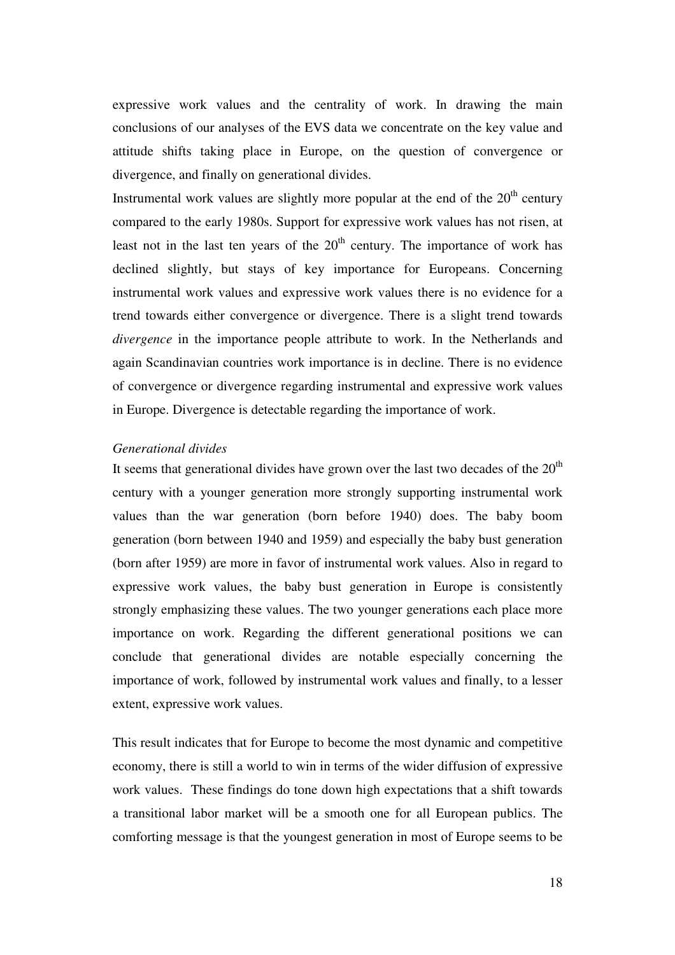expressive work values and the centrality of work. In drawing the main conclusions of our analyses of the EVS data we concentrate on the key value and attitude shifts taking place in Europe, on the question of convergence or divergence, and finally on generational divides.

Instrumental work values are slightly more popular at the end of the  $20<sup>th</sup>$  century compared to the early 1980s. Support for expressive work values has not risen, at least not in the last ten years of the  $20<sup>th</sup>$  century. The importance of work has declined slightly, but stays of key importance for Europeans. Concerning instrumental work values and expressive work values there is no evidence for a trend towards either convergence or divergence. There is a slight trend towards *divergence* in the importance people attribute to work. In the Netherlands and again Scandinavian countries work importance is in decline. There is no evidence of convergence or divergence regarding instrumental and expressive work values in Europe. Divergence is detectable regarding the importance of work.

#### *Generational divides*

It seems that generational divides have grown over the last two decades of the  $20<sup>th</sup>$ century with a younger generation more strongly supporting instrumental work values than the war generation (born before 1940) does. The baby boom generation (born between 1940 and 1959) and especially the baby bust generation (born after 1959) are more in favor of instrumental work values. Also in regard to expressive work values, the baby bust generation in Europe is consistently strongly emphasizing these values. The two younger generations each place more importance on work. Regarding the different generational positions we can conclude that generational divides are notable especially concerning the importance of work, followed by instrumental work values and finally, to a lesser extent, expressive work values.

This result indicates that for Europe to become the most dynamic and competitive economy, there is still a world to win in terms of the wider diffusion of expressive work values. These findings do tone down high expectations that a shift towards a transitional labor market will be a smooth one for all European publics. The comforting message is that the youngest generation in most of Europe seems to be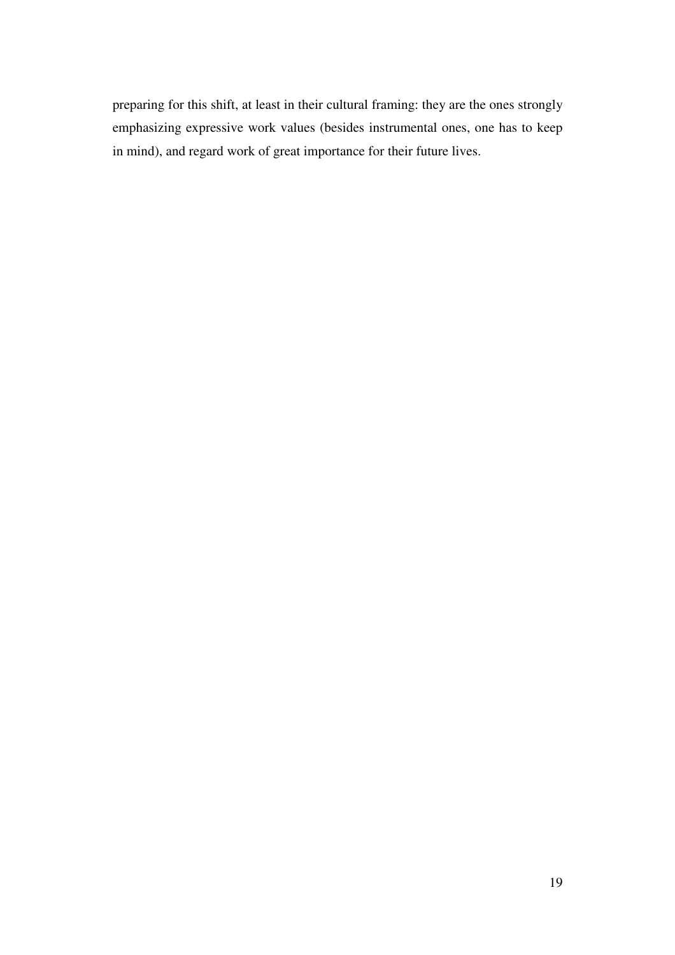preparing for this shift, at least in their cultural framing: they are the ones strongly emphasizing expressive work values (besides instrumental ones, one has to keep in mind), and regard work of great importance for their future lives.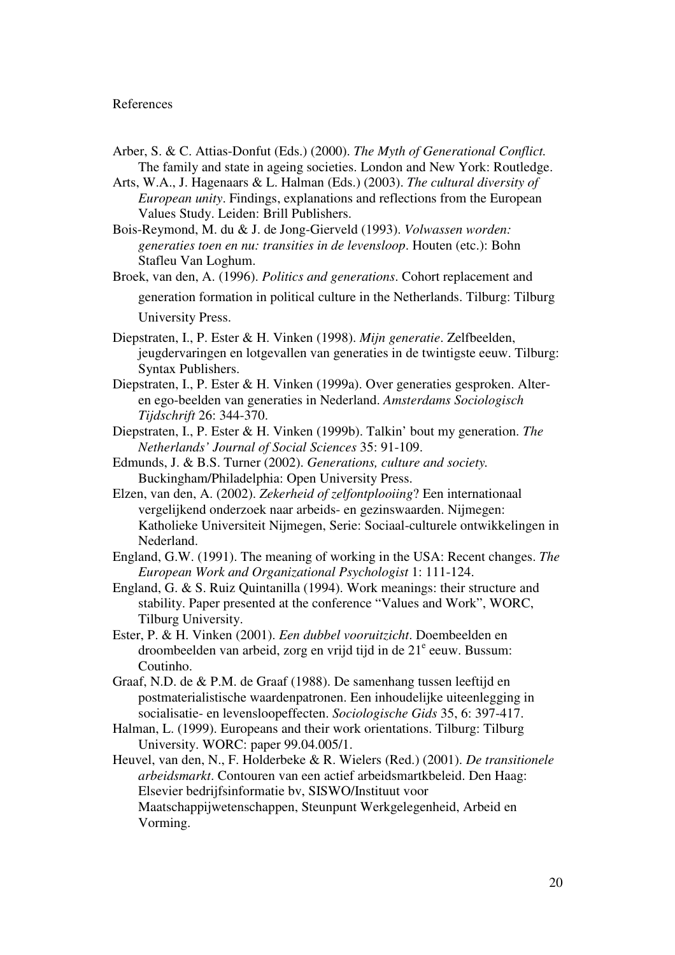#### References

- Arber, S. & C. Attias-Donfut (Eds.) (2000). *The Myth of Generational Conflict.* The family and state in ageing societies. London and New York: Routledge.
- Arts, W.A., J. Hagenaars & L. Halman (Eds.) (2003). *The cultural diversity of European unity*. Findings, explanations and reflections from the European Values Study. Leiden: Brill Publishers.
- Bois-Reymond, M. du & J. de Jong-Gierveld (1993). *Volwassen worden: generaties toen en nu: transities in de levensloop*. Houten (etc.): Bohn Stafleu Van Loghum.
- Broek, van den, A. (1996). *Politics and generations*. Cohort replacement and generation formation in political culture in the Netherlands. Tilburg: Tilburg University Press.
- Diepstraten, I., P. Ester & H. Vinken (1998). *Mijn generatie*. Zelfbeelden, jeugdervaringen en lotgevallen van generaties in de twintigste eeuw. Tilburg: Syntax Publishers.
- Diepstraten, I., P. Ester & H. Vinken (1999a). Over generaties gesproken. Alteren ego-beelden van generaties in Nederland. *Amsterdams Sociologisch Tijdschrift* 26: 344-370.
- Diepstraten, I., P. Ester & H. Vinken (1999b). Talkin' bout my generation. *The Netherlands' Journal of Social Sciences* 35: 91-109.
- Edmunds, J. & B.S. Turner (2002). *Generations, culture and society.* Buckingham/Philadelphia: Open University Press.
- Elzen, van den, A. (2002). *Zekerheid of zelfontplooiing*? Een internationaal vergelijkend onderzoek naar arbeids- en gezinswaarden. Nijmegen: Katholieke Universiteit Nijmegen, Serie: Sociaal-culturele ontwikkelingen in Nederland.
- England, G.W. (1991). The meaning of working in the USA: Recent changes. *The European Work and Organizational Psychologist* 1: 111-124.
- England, G. & S. Ruiz Quintanilla (1994). Work meanings: their structure and stability. Paper presented at the conference "Values and Work", WORC, Tilburg University.
- Ester, P. & H. Vinken (2001). *Een dubbel vooruitzicht*. Doembeelden en droombeelden van arbeid, zorg en vrijd tijd in de 21<sup>e</sup> eeuw. Bussum: Coutinho.
- Graaf, N.D. de & P.M. de Graaf (1988). De samenhang tussen leeftijd en postmaterialistische waardenpatronen. Een inhoudelijke uiteenlegging in socialisatie- en levensloopeffecten. *Sociologische Gids* 35, 6: 397-417.
- Halman, L. (1999). Europeans and their work orientations. Tilburg: Tilburg University. WORC: paper 99.04.005/1.
- Heuvel, van den, N., F. Holderbeke & R. Wielers (Red.) (2001). *De transitionele arbeidsmarkt*. Contouren van een actief arbeidsmartkbeleid. Den Haag: Elsevier bedrijfsinformatie bv, SISWO/Instituut voor Maatschappijwetenschappen, Steunpunt Werkgelegenheid, Arbeid en Vorming.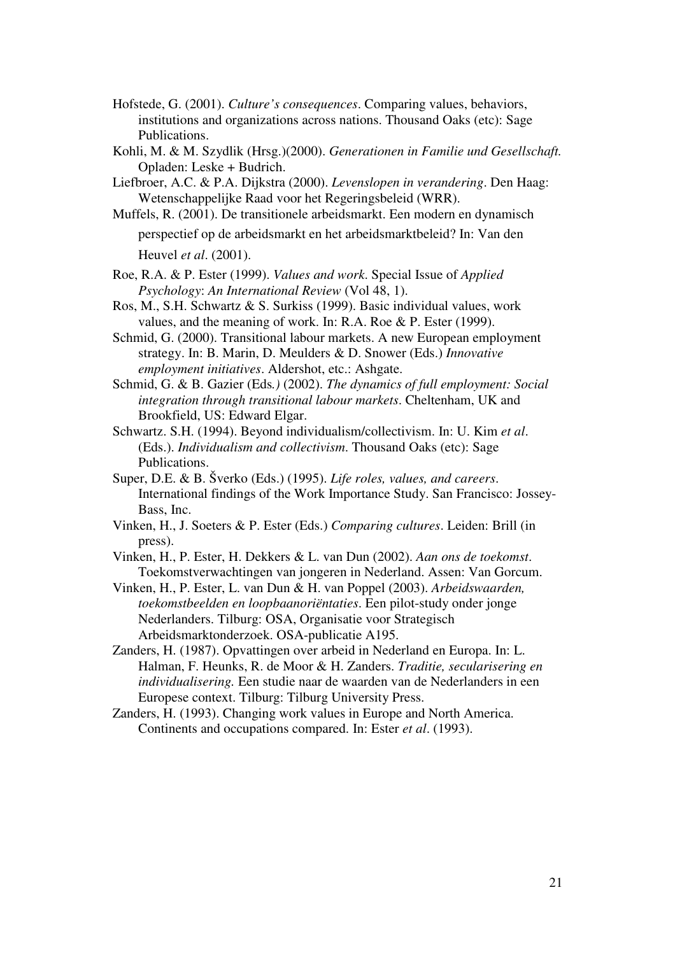- Hofstede, G. (2001). *Culture's consequences*. Comparing values, behaviors, institutions and organizations across nations. Thousand Oaks (etc): Sage Publications.
- Kohli, M. & M. Szydlik (Hrsg.)(2000). *Generationen in Familie und Gesellschaft.* Opladen: Leske + Budrich.
- Liefbroer, A.C. & P.A. Dijkstra (2000). *Levenslopen in verandering*. Den Haag: Wetenschappelijke Raad voor het Regeringsbeleid (WRR).
- Muffels, R. (2001). De transitionele arbeidsmarkt. Een modern en dynamisch perspectief op de arbeidsmarkt en het arbeidsmarktbeleid? In: Van den Heuvel *et al*. (2001).
- Roe, R.A. & P. Ester (1999). *Values and work*. Special Issue of *Applied Psychology*: *An International Review* (Vol 48, 1).
- Ros, M., S.H. Schwartz & S. Surkiss (1999). Basic individual values, work values, and the meaning of work. In: R.A. Roe & P. Ester (1999).
- Schmid, G. (2000). Transitional labour markets. A new European employment strategy. In: B. Marin, D. Meulders & D. Snower (Eds.) *Innovative employment initiatives*. Aldershot, etc.: Ashgate.
- Schmid, G. & B. Gazier (Eds*.)* (2002). *The dynamics of full employment: Social integration through transitional labour markets*. Cheltenham, UK and Brookfield, US: Edward Elgar.
- Schwartz. S.H. (1994). Beyond individualism/collectivism. In: U. Kim *et al*. (Eds.). *Individualism and collectivism*. Thousand Oaks (etc): Sage Publications.
- Super, D.E. & B. Šverko (Eds.) (1995). *Life roles, values, and careers*. International findings of the Work Importance Study. San Francisco: Jossey-Bass, Inc.
- Vinken, H., J. Soeters & P. Ester (Eds.) *Comparing cultures*. Leiden: Brill (in press).
- Vinken, H., P. Ester, H. Dekkers & L. van Dun (2002). *Aan ons de toekomst*. Toekomstverwachtingen van jongeren in Nederland. Assen: Van Gorcum.
- Vinken, H., P. Ester, L. van Dun & H. van Poppel (2003). *Arbeidswaarden, toekomstbeelden en loopbaanoriëntaties*. Een pilot-study onder jonge Nederlanders. Tilburg: OSA, Organisatie voor Strategisch Arbeidsmarktonderzoek. OSA-publicatie A195.
- Zanders, H. (1987). Opvattingen over arbeid in Nederland en Europa. In: L. Halman, F. Heunks, R. de Moor & H. Zanders. *Traditie, secularisering en individualisering.* Een studie naar de waarden van de Nederlanders in een Europese context. Tilburg: Tilburg University Press.
- Zanders, H. (1993). Changing work values in Europe and North America. Continents and occupations compared. In: Ester *et al*. (1993).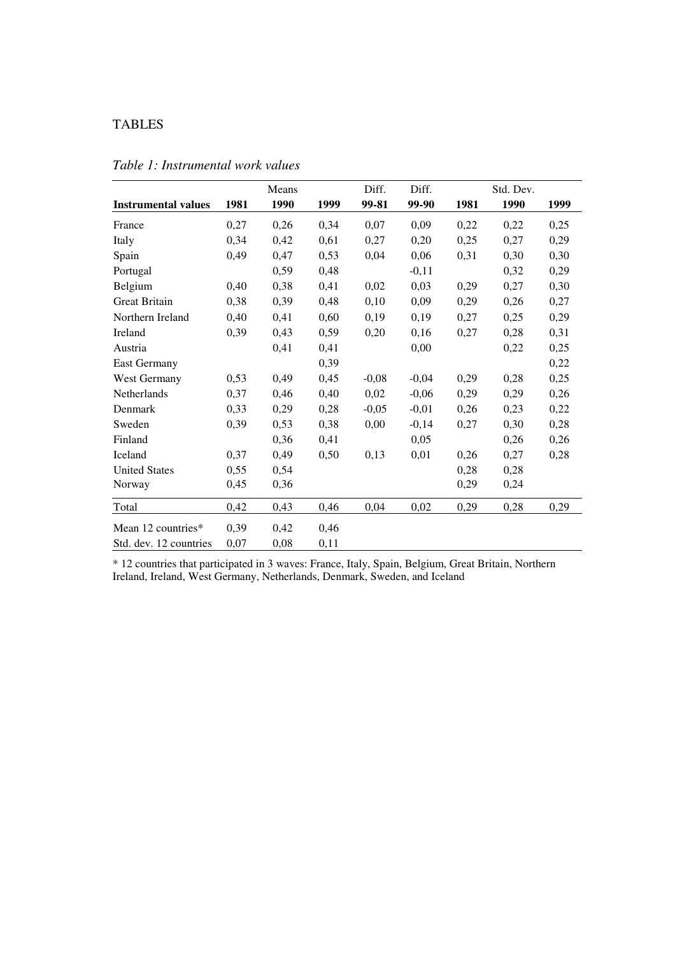## TABLES

|                            |      | Means |      | Diff.   | Diff.   |      | Std. Dev. |      |
|----------------------------|------|-------|------|---------|---------|------|-----------|------|
| <b>Instrumental values</b> | 1981 | 1990  | 1999 | 99-81   | 99-90   | 1981 | 1990      | 1999 |
| France                     | 0,27 | 0,26  | 0,34 | 0,07    | 0,09    | 0,22 | 0,22      | 0,25 |
| Italy                      | 0,34 | 0,42  | 0,61 | 0,27    | 0,20    | 0,25 | 0,27      | 0,29 |
| Spain                      | 0,49 | 0,47  | 0,53 | 0,04    | 0,06    | 0,31 | 0,30      | 0,30 |
| Portugal                   |      | 0,59  | 0,48 |         | $-0,11$ |      | 0,32      | 0,29 |
| Belgium                    | 0,40 | 0,38  | 0,41 | 0,02    | 0,03    | 0,29 | 0,27      | 0,30 |
| <b>Great Britain</b>       | 0,38 | 0,39  | 0,48 | 0,10    | 0,09    | 0,29 | 0,26      | 0,27 |
| Northern Ireland           | 0,40 | 0,41  | 0,60 | 0,19    | 0,19    | 0,27 | 0,25      | 0,29 |
| Ireland                    | 0,39 | 0,43  | 0,59 | 0,20    | 0,16    | 0,27 | 0,28      | 0,31 |
| Austria                    |      | 0,41  | 0,41 |         | 0,00    |      | 0,22      | 0,25 |
| <b>East Germany</b>        |      |       | 0,39 |         |         |      |           | 0,22 |
| West Germany               | 0,53 | 0,49  | 0,45 | $-0,08$ | $-0,04$ | 0,29 | 0,28      | 0,25 |
| Netherlands                | 0,37 | 0,46  | 0,40 | 0,02    | $-0,06$ | 0,29 | 0,29      | 0,26 |
| Denmark                    | 0,33 | 0,29  | 0,28 | $-0,05$ | $-0,01$ | 0,26 | 0,23      | 0,22 |
| Sweden                     | 0,39 | 0,53  | 0,38 | 0,00    | $-0,14$ | 0,27 | 0,30      | 0,28 |
| Finland                    |      | 0,36  | 0,41 |         | 0,05    |      | 0,26      | 0,26 |
| Iceland                    | 0,37 | 0,49  | 0,50 | 0,13    | 0,01    | 0,26 | 0,27      | 0,28 |
| <b>United States</b>       | 0,55 | 0,54  |      |         |         | 0,28 | 0,28      |      |
| Norway                     | 0.45 | 0,36  |      |         |         | 0,29 | 0,24      |      |
| Total                      | 0,42 | 0,43  | 0,46 | 0,04    | 0,02    | 0,29 | 0,28      | 0,29 |
| Mean 12 countries*         | 0,39 | 0,42  | 0,46 |         |         |      |           |      |
| Std. dev. 12 countries     | 0,07 | 0,08  | 0,11 |         |         |      |           |      |

*Table 1: Instrumental work values*

\* 12 countries that participated in 3 waves: France, Italy, Spain, Belgium, Great Britain, Northern Ireland, Ireland, West Germany, Netherlands, Denmark, Sweden, and Iceland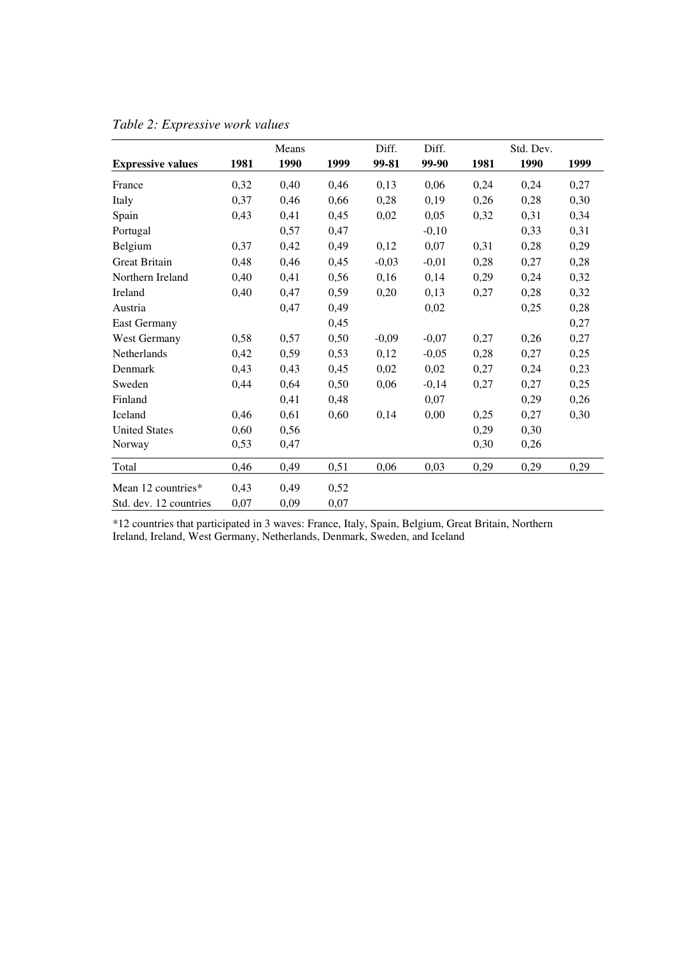|                          |      | Means |      | Diff.   | Diff.   |      | Std. Dev. |      |
|--------------------------|------|-------|------|---------|---------|------|-----------|------|
| <b>Expressive values</b> | 1981 | 1990  | 1999 | 99-81   | 99-90   | 1981 | 1990      | 1999 |
| France                   | 0,32 | 0,40  | 0,46 | 0,13    | 0,06    | 0,24 | 0,24      | 0,27 |
| Italy                    | 0,37 | 0,46  | 0,66 | 0,28    | 0,19    | 0,26 | 0,28      | 0,30 |
| Spain                    | 0,43 | 0,41  | 0,45 | 0,02    | 0,05    | 0,32 | 0,31      | 0,34 |
| Portugal                 |      | 0,57  | 0,47 |         | $-0,10$ |      | 0,33      | 0,31 |
| Belgium                  | 0,37 | 0,42  | 0,49 | 0,12    | 0,07    | 0,31 | 0,28      | 0,29 |
| <b>Great Britain</b>     | 0,48 | 0,46  | 0,45 | $-0,03$ | $-0,01$ | 0,28 | 0,27      | 0,28 |
| Northern Ireland         | 0,40 | 0,41  | 0,56 | 0,16    | 0,14    | 0,29 | 0,24      | 0,32 |
| Ireland                  | 0,40 | 0,47  | 0,59 | 0,20    | 0,13    | 0,27 | 0,28      | 0,32 |
| Austria                  |      | 0,47  | 0,49 |         | 0,02    |      | 0,25      | 0,28 |
| East Germany             |      |       | 0,45 |         |         |      |           | 0,27 |
| West Germany             | 0,58 | 0,57  | 0,50 | $-0,09$ | $-0,07$ | 0,27 | 0,26      | 0,27 |
| <b>Netherlands</b>       | 0,42 | 0,59  | 0,53 | 0,12    | $-0,05$ | 0,28 | 0,27      | 0,25 |
| Denmark                  | 0,43 | 0,43  | 0,45 | 0,02    | 0,02    | 0,27 | 0,24      | 0,23 |
| Sweden                   | 0,44 | 0,64  | 0,50 | 0,06    | $-0,14$ | 0,27 | 0,27      | 0,25 |
| Finland                  |      | 0,41  | 0,48 |         | 0,07    |      | 0,29      | 0,26 |
| Iceland                  | 0,46 | 0,61  | 0,60 | 0,14    | 0,00    | 0,25 | 0,27      | 0,30 |
| <b>United States</b>     | 0,60 | 0,56  |      |         |         | 0,29 | 0,30      |      |
| Norway                   | 0,53 | 0,47  |      |         |         | 0,30 | 0,26      |      |
| Total                    | 0,46 | 0,49  | 0,51 | 0,06    | 0,03    | 0,29 | 0,29      | 0,29 |
| Mean 12 countries*       | 0,43 | 0,49  | 0,52 |         |         |      |           |      |
| Std. dev. 12 countries   | 0,07 | 0,09  | 0,07 |         |         |      |           |      |

|  |  | Table 2: Expressive work values |  |  |
|--|--|---------------------------------|--|--|
|  |  |                                 |  |  |

\*12 countries that participated in 3 waves: France, Italy, Spain, Belgium, Great Britain, Northern Ireland, Ireland, West Germany, Netherlands, Denmark, Sweden, and Iceland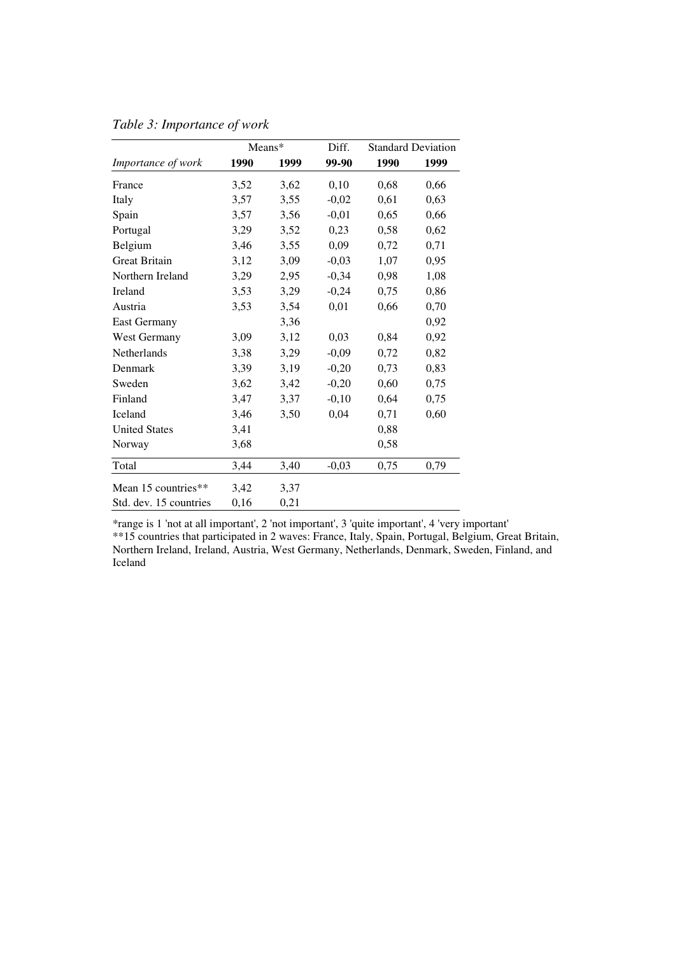|                        | Means* |      | Diff.   | <b>Standard Deviation</b> |      |  |  |
|------------------------|--------|------|---------|---------------------------|------|--|--|
| Importance of work     | 1990   | 1999 | 99-90   | 1990                      | 1999 |  |  |
| France                 | 3,52   | 3,62 | 0,10    | 0,68                      | 0,66 |  |  |
| Italy                  | 3,57   | 3,55 | $-0,02$ | 0,61                      | 0,63 |  |  |
| Spain                  | 3,57   | 3,56 | $-0,01$ | 0,65                      | 0,66 |  |  |
| Portugal               | 3,29   | 3,52 | 0,23    | 0,58                      | 0,62 |  |  |
| Belgium                | 3,46   | 3,55 | 0,09    | 0,72                      | 0,71 |  |  |
| <b>Great Britain</b>   | 3,12   | 3,09 | $-0,03$ | 1,07                      | 0,95 |  |  |
| Northern Ireland       | 3,29   | 2,95 | $-0,34$ | 0,98                      | 1,08 |  |  |
| Ireland                | 3,53   | 3,29 | $-0,24$ | 0,75                      | 0,86 |  |  |
| Austria                | 3,53   | 3,54 | 0,01    | 0,66                      | 0,70 |  |  |
| <b>East Germany</b>    |        | 3,36 |         |                           | 0,92 |  |  |
| West Germany           | 3,09   | 3,12 | 0,03    | 0,84                      | 0,92 |  |  |
| <b>Netherlands</b>     | 3,38   | 3,29 | $-0,09$ | 0,72                      | 0,82 |  |  |
| Denmark                | 3,39   | 3,19 | $-0,20$ | 0,73                      | 0,83 |  |  |
| Sweden                 | 3,62   | 3,42 | $-0,20$ | 0,60                      | 0,75 |  |  |
| Finland                | 3,47   | 3,37 | $-0,10$ | 0,64                      | 0,75 |  |  |
| Iceland                | 3,46   | 3,50 | 0,04    | 0,71                      | 0,60 |  |  |
| <b>United States</b>   | 3,41   |      |         | 0,88                      |      |  |  |
| Norway                 | 3,68   |      |         | 0,58                      |      |  |  |
| Total                  | 3,44   | 3,40 | $-0,03$ | 0,75                      | 0,79 |  |  |
| Mean 15 countries**    | 3,42   | 3,37 |         |                           |      |  |  |
| Std. dev. 15 countries | 0,16   | 0,21 |         |                           |      |  |  |

*Table 3: Importance of work*

\*range is 1 'not at all important', 2 'not important', 3 'quite important', 4 'very important'

\*\*15 countries that participated in 2 waves: France, Italy, Spain, Portugal, Belgium, Great Britain, Northern Ireland, Ireland, Austria, West Germany, Netherlands, Denmark, Sweden, Finland, and Iceland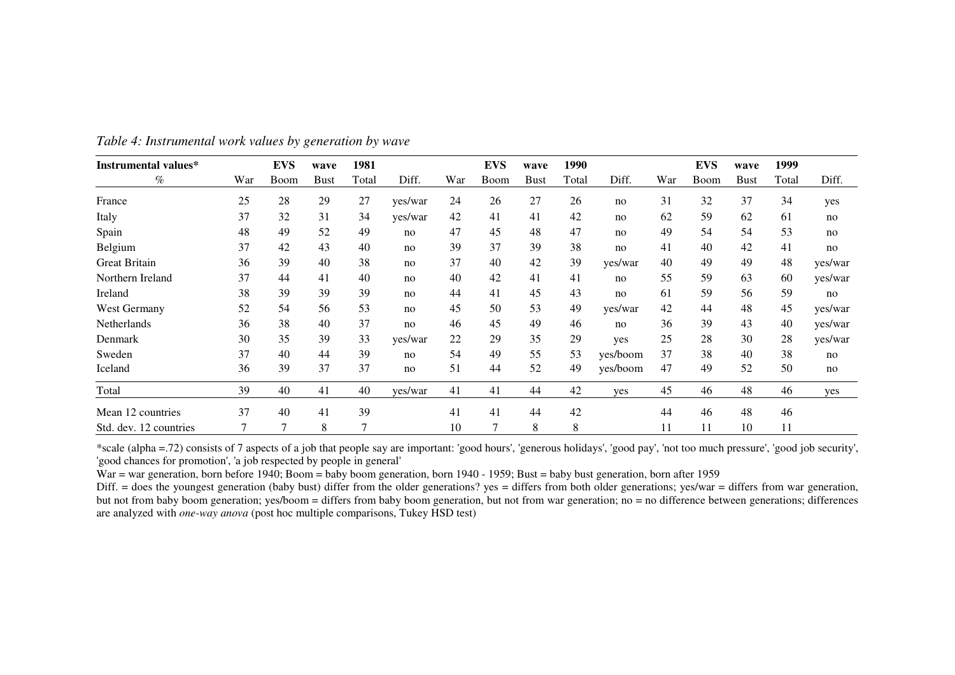| Instrumental values*   |     | <b>EVS</b> | wave        | 1981  |         |     | <b>EVS</b> | wave        | 1990  |          |     | <b>EVS</b> | wave        | 1999  |         |
|------------------------|-----|------------|-------------|-------|---------|-----|------------|-------------|-------|----------|-----|------------|-------------|-------|---------|
| $\%$                   | War | Boom       | <b>Bust</b> | Total | Diff.   | War | Boom       | <b>Bust</b> | Total | Diff.    | War | Boom       | <b>Bust</b> | Total | Diff.   |
| France                 | 25  | 28         | 29          | 27    | yes/war | 24  | 26         | 27          | 26    | no       | 31  | 32         | 37          | 34    | yes     |
| Italy                  | 37  | 32         | 31          | 34    | yes/war | 42  | 41         | 41          | 42    | no       | 62  | 59         | 62          | 61    | no      |
| Spain                  | 48  | 49         | 52          | 49    | no      | 47  | 45         | 48          | 47    | no       | 49  | 54         | 54          | 53    | no      |
| Belgium                | 37  | 42         | 43          | 40    | no      | 39  | 37         | 39          | 38    | no       | 41  | 40         | 42          | 41    | no      |
| <b>Great Britain</b>   | 36  | 39         | 40          | 38    | no      | 37  | 40         | 42          | 39    | yes/war  | 40  | 49         | 49          | 48    | yes/war |
| Northern Ireland       | 37  | 44         | 41          | 40    | no      | 40  | 42         | 41          | 41    | no       | 55  | 59         | 63          | 60    | yes/war |
| Ireland                | 38  | 39         | 39          | 39    | no      | 44  | 41         | 45          | 43    | no       | 61  | 59         | 56          | 59    | no      |
| West Germany           | 52  | 54         | 56          | 53    | no      | 45  | 50         | 53          | 49    | yes/war  | 42  | 44         | 48          | 45    | yes/war |
| Netherlands            | 36  | 38         | 40          | 37    | no      | 46  | 45         | 49          | 46    | no       | 36  | 39         | 43          | 40    | yes/war |
| Denmark                | 30  | 35         | 39          | 33    | yes/war | 22  | 29         | 35          | 29    | yes      | 25  | 28         | 30          | 28    | yes/war |
| Sweden                 | 37  | 40         | 44          | 39    | no      | 54  | 49         | 55          | 53    | yes/boom | 37  | 38         | 40          | 38    | no      |
| Iceland                | 36  | 39         | 37          | 37    | no      | 51  | 44         | 52          | 49    | yes/boom | 47  | 49         | 52          | 50    | no      |
| Total                  | 39  | 40         | 41          | 40    | yes/war | 41  | 41         | 44          | 42    | yes      | 45  | 46         | 48          | 46    | yes     |
| Mean 12 countries      | 37  | 40         | 41          | 39    |         | 41  | 41         | 44          | 42    |          | 44  | 46         | 48          | 46    |         |
| Std. dev. 12 countries | 7   | 7          | 8           | 7     |         | 10  | 7          | 8           | 8     |          | 11  | 11         | 10          | 11    |         |

*Table 4: Instrumental work values by generation by wave*

\*scale (alpha =.72) consists of 7 aspects of <sup>a</sup> job that people say are important: 'good hours', 'generous holidays', 'good pay', 'not too much pressure', 'good job security', 'good chances for promotion', 'a job respected by people in general'

War <sup>=</sup> war generation, born before 1940; Boom <sup>=</sup> baby boom generation, born 1940 - 1959; Bust <sup>=</sup> baby bust generation, born after 1959

Diff. = does the youngest generation (baby bust) differ from the older generations? yes = differs from both older generations; yes/war = differs from war generation, but not from baby boom generation; yes/boom <sup>=</sup> differs from baby boom generation, but not from war generation; no <sup>=</sup> no difference between generations; differences are analyzed with *one-way anova* (post hoc multiple comparisons, Tukey HSD test)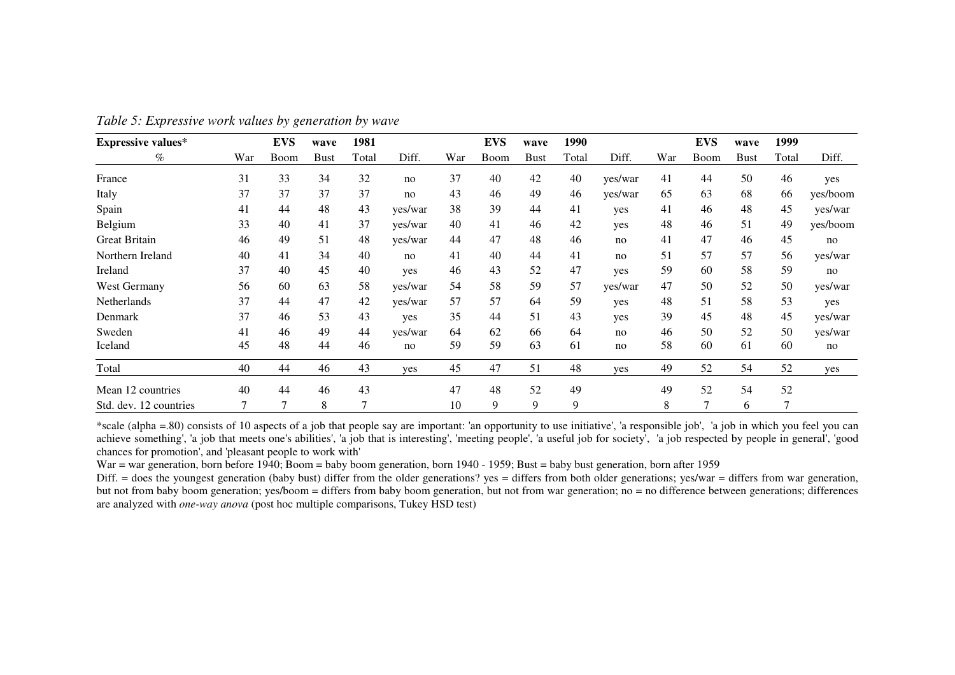| <b>Expressive values*</b> |        | <b>EVS</b> | wave        | 1981  |         |     | <b>EVS</b> | wave        | 1990  |         |     | <b>EVS</b> | wave        | 1999  |          |
|---------------------------|--------|------------|-------------|-------|---------|-----|------------|-------------|-------|---------|-----|------------|-------------|-------|----------|
| $\%$                      | War    | Boom       | <b>Bust</b> | Total | Diff.   | War | Boom       | <b>Bust</b> | Total | Diff.   | War | Boom       | <b>Bust</b> | Total | Diff.    |
| France                    | 31     | 33         | 34          | 32    | no      | 37  | 40         | 42          | 40    | yes/war | 41  | 44         | 50          | 46    | yes      |
| Italy                     | 37     | 37         | 37          | 37    | no      | 43  | 46         | 49          | 46    | yes/war | 65  | 63         | 68          | 66    | yes/boom |
| Spain                     | 41     | 44         | 48          | 43    | yes/war | 38  | 39         | 44          | 41    | yes     | 41  | 46         | 48          | 45    | yes/war  |
| Belgium                   | 33     | 40         | 41          | 37    | yes/war | 40  | 41         | 46          | 42    | yes     | 48  | 46         | 51          | 49    | yes/boom |
| <b>Great Britain</b>      | 46     | 49         | 51          | 48    | yes/war | 44  | 47         | 48          | 46    | no      | 41  | 47         | 46          | 45    | no       |
| Northern Ireland          | 40     | 41         | 34          | 40    | no      | 41  | 40         | 44          | 41    | no      | 51  | 57         | 57          | 56    | yes/war  |
| Ireland                   | 37     | 40         | 45          | 40    | yes     | 46  | 43         | 52          | 47    | yes     | 59  | 60         | 58          | 59    | no       |
| West Germany              | 56     | 60         | 63          | 58    | yes/war | 54  | 58         | 59          | 57    | yes/war | 47  | 50         | 52          | 50    | yes/war  |
| Netherlands               | 37     | 44         | 47          | 42    | yes/war | 57  | 57         | 64          | 59    | yes     | 48  | 51         | 58          | 53    | yes      |
| Denmark                   | 37     | 46         | 53          | 43    | yes     | 35  | 44         | 51          | 43    | yes     | 39  | 45         | 48          | 45    | yes/war  |
| Sweden                    | 41     | 46         | 49          | 44    | yes/war | 64  | 62         | 66          | 64    | no      | 46  | 50         | 52          | 50    | yes/war  |
| Iceland                   | 45     | 48         | 44          | 46    | no      | 59  | 59         | 63          | 61    | no      | 58  | 60         | 61          | 60    | no       |
| Total                     | 40     | 44         | 46          | 43    | yes     | 45  | 47         | 51          | 48    | yes     | 49  | 52         | 54          | 52    | yes      |
| Mean 12 countries         | 40     | 44         | 46          | 43    |         | 47  | 48         | 52          | 49    |         | 49  | 52         | 54          | 52    |          |
| Std. dev. 12 countries    | $\tau$ | 7          | 8           |       |         | 10  | 9          | 9           | 9     |         | 8   | 7          | 6           | 7     |          |

*Table 5: Expressive work values by generation by wave*

\*scale (alpha =.80) consists of 10 aspects of <sup>a</sup> job that people say are important: 'an opportunity to use initiative', 'a responsible job', 'a job in which you feel you can achieve something', 'a job that meets one's abilities', 'a job that is interesting', 'meeting people', 'a useful job for society', 'a job respected by people in general', 'good chances for promotion', and 'pleasant people to work with'

War <sup>=</sup> war generation, born before 1940; Boom <sup>=</sup> baby boom generation, born 1940 - 1959; Bust <sup>=</sup> baby bust generation, born after 1959

Diff. = does the youngest generation (baby bust) differ from the older generations? yes = differs from both older generations; yes/war = differs from war generation, but not from baby boom generation; yes/boom <sup>=</sup> differs from baby boom generation, but not from war generation; no <sup>=</sup> no difference between generations; differences are analyzed with *one-way anova* (post hoc multiple comparisons, Tukey HSD test)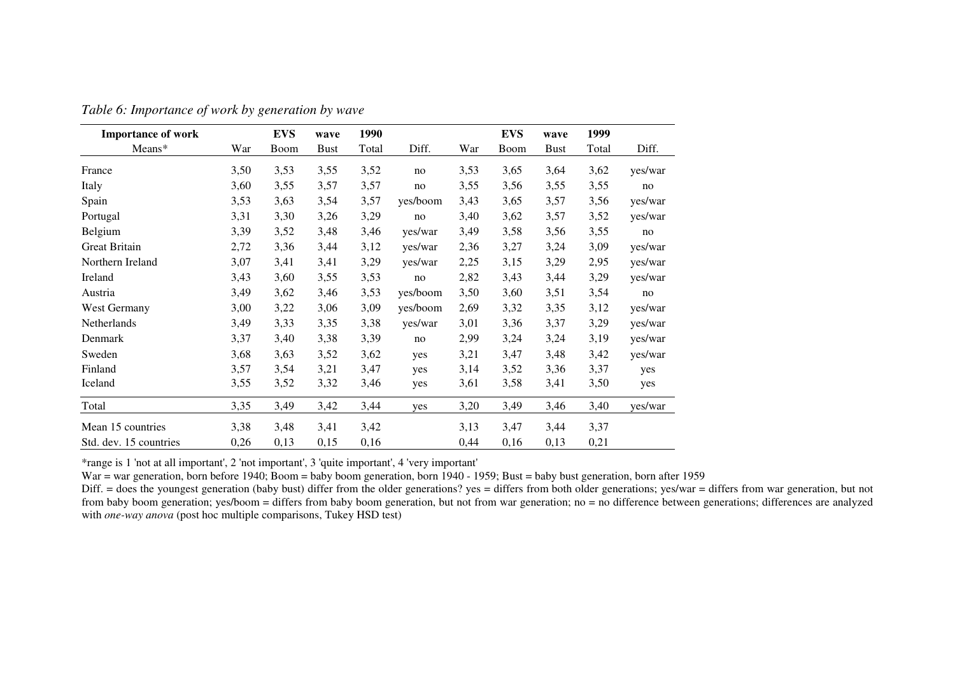| <b>Importance of work</b> |      | <b>EVS</b> | wave        | 1990  |          |      | <b>EVS</b> | wave        | 1999  |         |
|---------------------------|------|------------|-------------|-------|----------|------|------------|-------------|-------|---------|
| Means*                    | War  | Boom       | <b>Bust</b> | Total | Diff.    | War  | Boom       | <b>Bust</b> | Total | Diff.   |
| France                    | 3,50 | 3,53       | 3,55        | 3,52  | no       | 3,53 | 3,65       | 3,64        | 3,62  | yes/war |
| Italy                     | 3,60 | 3,55       | 3,57        | 3,57  | no       | 3,55 | 3,56       | 3,55        | 3,55  | no      |
| Spain                     | 3,53 | 3,63       | 3,54        | 3,57  | yes/boom | 3,43 | 3,65       | 3,57        | 3,56  | yes/war |
| Portugal                  | 3,31 | 3,30       | 3,26        | 3,29  | no       | 3,40 | 3,62       | 3,57        | 3,52  | yes/war |
| Belgium                   | 3,39 | 3,52       | 3,48        | 3,46  | yes/war  | 3,49 | 3,58       | 3,56        | 3,55  | no      |
| <b>Great Britain</b>      | 2,72 | 3,36       | 3,44        | 3,12  | yes/war  | 2,36 | 3,27       | 3,24        | 3,09  | yes/war |
| Northern Ireland          | 3,07 | 3,41       | 3,41        | 3,29  | yes/war  | 2,25 | 3,15       | 3,29        | 2,95  | yes/war |
| Ireland                   | 3,43 | 3,60       | 3,55        | 3,53  | no       | 2,82 | 3,43       | 3,44        | 3,29  | yes/war |
| Austria                   | 3,49 | 3,62       | 3,46        | 3,53  | yes/boom | 3,50 | 3,60       | 3,51        | 3,54  | no      |
| West Germany              | 3,00 | 3,22       | 3,06        | 3,09  | yes/boom | 2,69 | 3,32       | 3,35        | 3,12  | yes/war |
| Netherlands               | 3,49 | 3,33       | 3,35        | 3,38  | yes/war  | 3,01 | 3,36       | 3,37        | 3,29  | yes/war |
| Denmark                   | 3,37 | 3,40       | 3,38        | 3,39  | no       | 2,99 | 3,24       | 3,24        | 3,19  | yes/war |
| Sweden                    | 3,68 | 3,63       | 3,52        | 3,62  | yes      | 3,21 | 3,47       | 3,48        | 3,42  | yes/war |
| Finland                   | 3,57 | 3,54       | 3,21        | 3,47  | yes      | 3,14 | 3,52       | 3,36        | 3,37  | yes     |
| Iceland                   | 3,55 | 3,52       | 3,32        | 3,46  | yes      | 3,61 | 3,58       | 3,41        | 3,50  | yes     |
| Total                     | 3,35 | 3,49       | 3,42        | 3,44  | yes      | 3,20 | 3,49       | 3,46        | 3,40  | yes/war |
| Mean 15 countries         | 3,38 | 3,48       | 3,41        | 3,42  |          | 3,13 | 3,47       | 3,44        | 3,37  |         |
| Std. dev. 15 countries    | 0,26 | 0,13       | 0,15        | 0,16  |          | 0,44 | 0,16       | 0,13        | 0,21  |         |

*Table 6: Importance of work by generation by wave*

\*range is 1 'not at all important', 2 'not important', 3 'quite important', 4 'very important'

War <sup>=</sup> war generation, born before 1940; Boom <sup>=</sup> baby boom generation, born 1940 - 1959; Bust <sup>=</sup> baby bust generation, born after 1959

Diff. = does the youngest generation (baby bust) differ from the older generations? yes = differs from both older generations; yes/war = differs from war generation, but not from baby boom generation; yes/boom <sup>=</sup> differs from baby boom generation, but not from war generation; no <sup>=</sup> no difference between generations; differences are analyzed with *one-way anova* (post hoc multiple comparisons, Tukey HSD test)